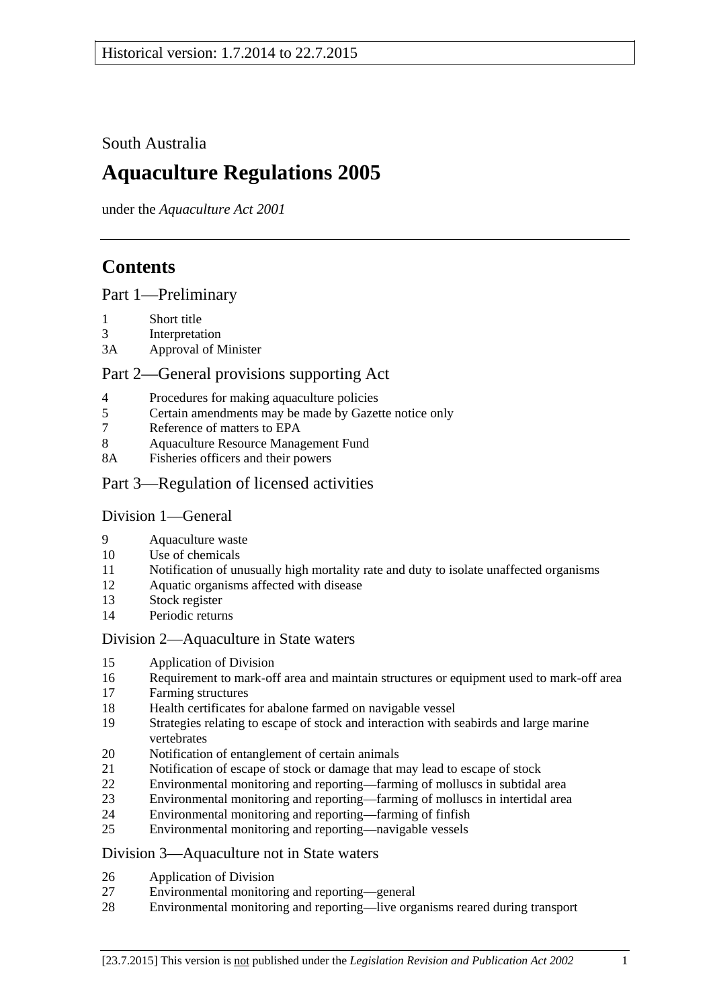South Australia

# **Aquaculture Regulations 2005**

under the *Aquaculture Act 2001*

# **Contents**

[Part 1—Preliminary](#page-1-0)

- [Short title](#page-1-1)
- [Interpretation](#page-1-2)
- 3A [Approval of Minister](#page-2-0)

# [Part 2—General provisions supporting Act](#page-2-1)

- [Procedures for making aquaculture policies](#page-2-2)
- [Certain amendments may be made by Gazette notice only](#page-3-0)
- [Reference of matters to EPA](#page-3-1)
- [Aquaculture Resource Management Fund](#page-3-2)
- 8A [Fisheries officers and their powers](#page-3-3)
- [Part 3—Regulation of licensed activities](#page-4-0)

## [Division 1—General](#page-4-1)

- [Aquaculture waste](#page-4-2)
- [Use of chemicals](#page-4-3)
- [Notification of unusually high mortality rate and duty to isolate unaffected organisms](#page-5-0)
- [Aquatic organisms affected with disease](#page-5-1)
- [Stock register](#page-6-0)
- [Periodic returns](#page-8-0)

## [Division 2—Aquaculture in State waters](#page-8-1)

- [Application of Division](#page-8-2)
- [Requirement to mark-off area and maintain structures or equipment used to mark-off area](#page-8-3)
- [Farming structures](#page-8-4)
- [Health certificates for abalone farmed on navigable vessel](#page-9-0)
- [Strategies relating to escape of stock and interaction with seabirds and large marine](#page-10-0)  [vertebrates](#page-10-0)
- [Notification of entanglement of certain animals](#page-10-1)
- [Notification of escape of stock or damage that may lead to escape of stock](#page-11-0)
- [Environmental monitoring and reporting—farming of molluscs in subtidal area](#page-11-1)
- [Environmental monitoring and reporting—farming of molluscs in intertidal area](#page-14-0)
- [Environmental monitoring and reporting—farming of finfish](#page-14-1)
- [Environmental monitoring and reporting—navigable vessels](#page-17-0)

## [Division 3—Aquaculture not in State waters](#page-18-0)

- [Application of Division](#page-18-1)
- [Environmental monitoring and reporting—general](#page-19-0)
- [Environmental monitoring and reporting—live organisms reared during transport](#page-21-0)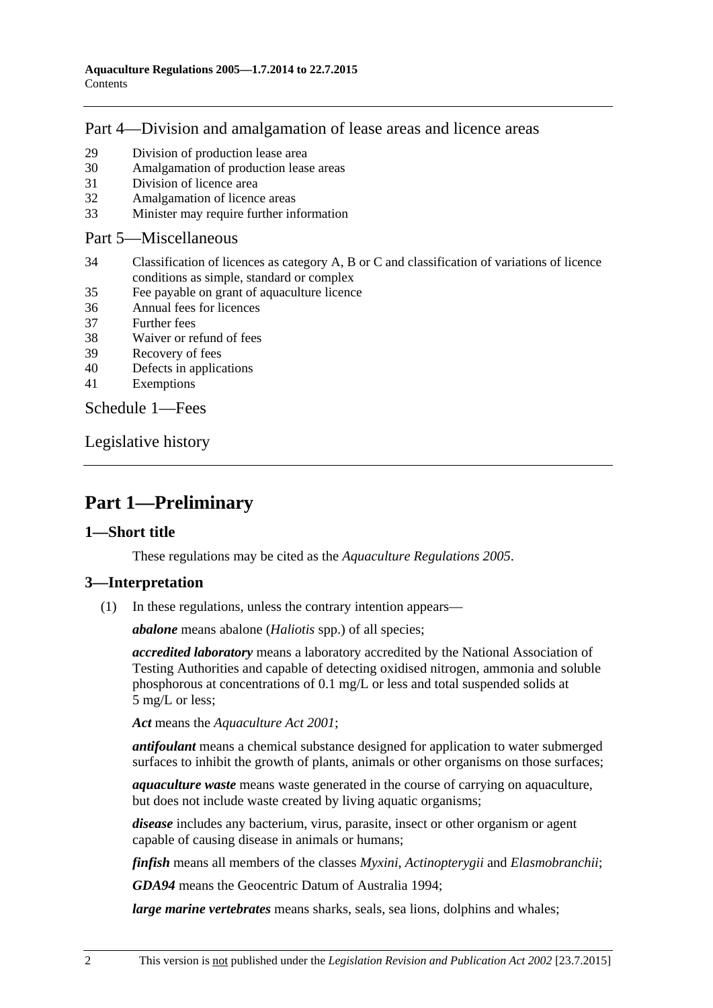# [Part 4—Division and amalgamation of lease areas and licence areas](#page-22-0)

- 29 [Division of production lease area](#page-22-1)
- 30 [Amalgamation of production lease areas](#page-23-0)
- 31 [Division of licence area](#page-24-0)
- 32 [Amalgamation of licence areas](#page-24-1)
- 33 [Minister may require further information](#page-25-0)

#### [Part 5—Miscellaneous](#page-25-1)

- 34 [Classification of licences as category A, B or C and classification of variations of licence](#page-25-2)  [conditions as simple, standard or complex](#page-25-2)
- 35 [Fee payable on grant of aquaculture licence](#page-26-0)
- 36 [Annual fees for licences](#page-26-1)
- 37 [Further fees](#page-27-0)
- 38 [Waiver or refund of fees](#page-27-1)
- 39 [Recovery of fees](#page-27-2)
- 40 [Defects in applications](#page-27-3)
- 41 [Exemptions](#page-27-4)

[Schedule 1—Fees](#page-27-5)

[Legislative history](#page-31-0)

# <span id="page-1-0"></span>**Part 1—Preliminary**

#### <span id="page-1-1"></span>**1—Short title**

These regulations may be cited as the *Aquaculture Regulations 2005*.

## <span id="page-1-2"></span>**3—Interpretation**

(1) In these regulations, unless the contrary intention appears—

*abalone* means abalone (*Haliotis* spp.) of all species;

*accredited laboratory* means a laboratory accredited by the National Association of Testing Authorities and capable of detecting oxidised nitrogen, ammonia and soluble phosphorous at concentrations of 0.1 mg/L or less and total suspended solids at 5 mg/L or less;

*Act* means the *[Aquaculture Act](http://www.legislation.sa.gov.au/index.aspx?action=legref&type=act&legtitle=Aquaculture%20Act%202001) 2001*;

*antifoulant* means a chemical substance designed for application to water submerged surfaces to inhibit the growth of plants, animals or other organisms on those surfaces;

*aquaculture waste* means waste generated in the course of carrying on aquaculture, but does not include waste created by living aquatic organisms;

*disease* includes any bacterium, virus, parasite, insect or other organism or agent capable of causing disease in animals or humans;

*finfish* means all members of the classes *Myxini*, *Actinopterygii* and *Elasmobranchii*;

*GDA94* means the Geocentric Datum of Australia 1994;

*large marine vertebrates* means sharks, seals, sea lions, dolphins and whales;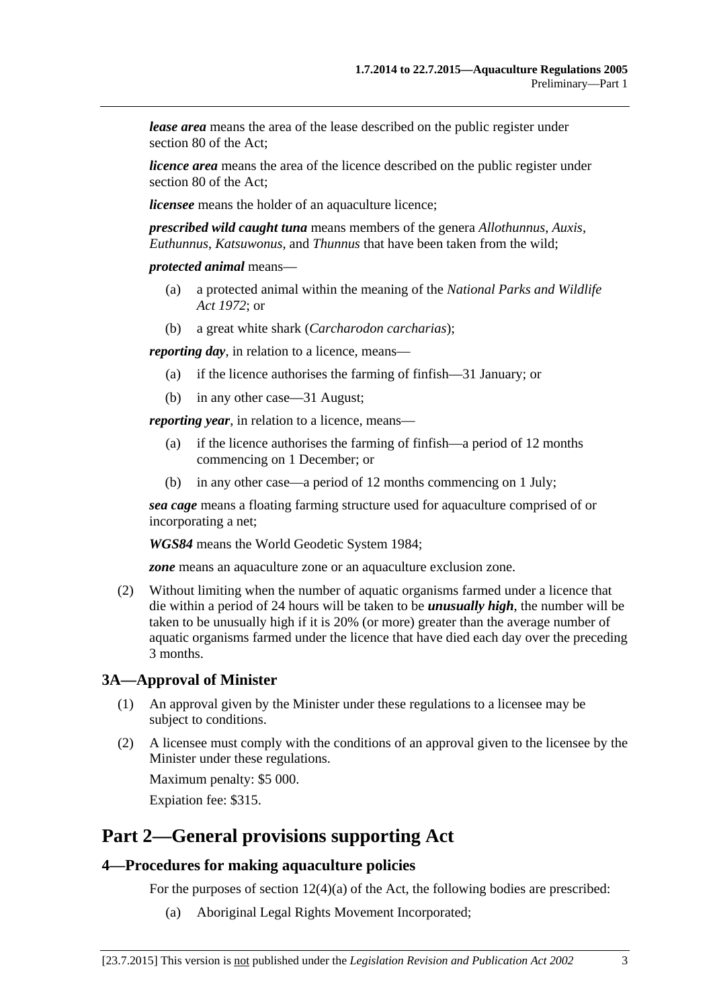*lease area* means the area of the lease described on the public register under section 80 of the Act;

*licence area* means the area of the licence described on the public register under section 80 of the Act;

*licensee* means the holder of an aquaculture licence;

*prescribed wild caught tuna* means members of the genera *Allothunnus*, *Auxis*, *Euthunnus*, *Katsuwonus*, and *Thunnus* that have been taken from the wild;

*protected animal* means—

- (a) a protected animal within the meaning of the *[National Parks and Wildlife](http://www.legislation.sa.gov.au/index.aspx?action=legref&type=act&legtitle=National%20Parks%20and%20Wildlife%20Act%201972)  Act [1972](http://www.legislation.sa.gov.au/index.aspx?action=legref&type=act&legtitle=National%20Parks%20and%20Wildlife%20Act%201972)*; or
- (b) a great white shark (*Carcharodon carcharias*);

*reporting day*, in relation to a licence, means—

- (a) if the licence authorises the farming of finfish—31 January; or
- (b) in any other case—31 August;

*reporting year,* in relation to a licence, means—

- (a) if the licence authorises the farming of finfish—a period of 12 months commencing on 1 December; or
- (b) in any other case—a period of 12 months commencing on 1 July;

*sea cage* means a floating farming structure used for aquaculture comprised of or incorporating a net;

*WGS84* means the World Geodetic System 1984;

*zone* means an aquaculture zone or an aquaculture exclusion zone.

<span id="page-2-3"></span>(2) Without limiting when the number of aquatic organisms farmed under a licence that die within a period of 24 hours will be taken to be *unusually high*, the number will be taken to be unusually high if it is 20% (or more) greater than the average number of aquatic organisms farmed under the licence that have died each day over the preceding 3 months.

#### <span id="page-2-0"></span>**3A—Approval of Minister**

- (1) An approval given by the Minister under these regulations to a licensee may be subject to conditions.
- (2) A licensee must comply with the conditions of an approval given to the licensee by the Minister under these regulations.

Maximum penalty: \$5 000. Expiation fee: \$315.

<span id="page-2-1"></span>**Part 2—General provisions supporting Act**

#### <span id="page-2-2"></span>**4—Procedures for making aquaculture policies**

For the purposes of section 12(4)(a) of the Act, the following bodies are prescribed:

(a) Aboriginal Legal Rights Movement Incorporated;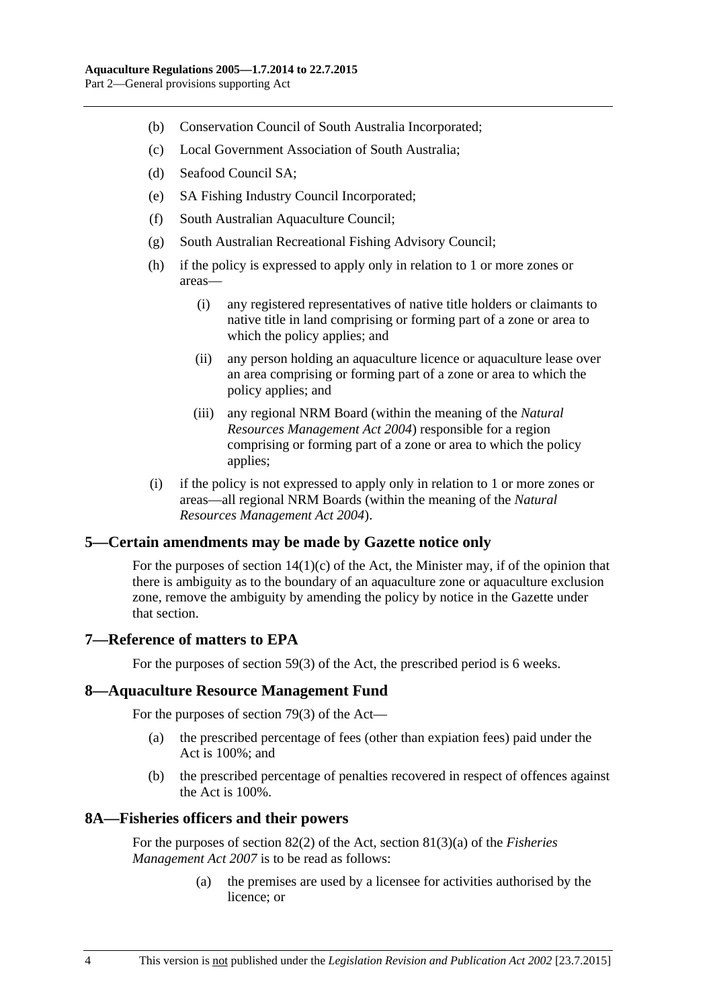- (b) Conservation Council of South Australia Incorporated;
- (c) Local Government Association of South Australia;
- (d) Seafood Council SA;
- (e) SA Fishing Industry Council Incorporated;
- (f) South Australian Aquaculture Council;
- (g) South Australian Recreational Fishing Advisory Council;
- (h) if the policy is expressed to apply only in relation to 1 or more zones or areas—
	- (i) any registered representatives of native title holders or claimants to native title in land comprising or forming part of a zone or area to which the policy applies; and
	- (ii) any person holding an aquaculture licence or aquaculture lease over an area comprising or forming part of a zone or area to which the policy applies; and
	- (iii) any regional NRM Board (within the meaning of the *[Natural](http://www.legislation.sa.gov.au/index.aspx?action=legref&type=act&legtitle=Natural%20Resources%20Management%20Act%202004)  [Resources Management Act](http://www.legislation.sa.gov.au/index.aspx?action=legref&type=act&legtitle=Natural%20Resources%20Management%20Act%202004) 2004*) responsible for a region comprising or forming part of a zone or area to which the policy applies;
- (i) if the policy is not expressed to apply only in relation to 1 or more zones or areas—all regional NRM Boards (within the meaning of the *[Natural](http://www.legislation.sa.gov.au/index.aspx?action=legref&type=act&legtitle=Natural%20Resources%20Management%20Act%202004)  [Resources Management Act](http://www.legislation.sa.gov.au/index.aspx?action=legref&type=act&legtitle=Natural%20Resources%20Management%20Act%202004) 2004*).

## <span id="page-3-0"></span>**5—Certain amendments may be made by Gazette notice only**

For the purposes of section 14(1)(c) of the Act, the Minister may, if of the opinion that there is ambiguity as to the boundary of an aquaculture zone or aquaculture exclusion zone, remove the ambiguity by amending the policy by notice in the Gazette under that section.

## <span id="page-3-1"></span>**7—Reference of matters to EPA**

For the purposes of section 59(3) of the Act, the prescribed period is 6 weeks.

#### <span id="page-3-2"></span>**8—Aquaculture Resource Management Fund**

For the purposes of section 79(3) of the Act—

- (a) the prescribed percentage of fees (other than expiation fees) paid under the Act is 100%; and
- (b) the prescribed percentage of penalties recovered in respect of offences against the Act is 100%.

#### <span id="page-3-3"></span>**8A—Fisheries officers and their powers**

For the purposes of section 82(2) of the Act, section 81(3)(a) of the *[Fisheries](http://www.legislation.sa.gov.au/index.aspx?action=legref&type=act&legtitle=Fisheries%20Management%20Act%202007)  [Management Act](http://www.legislation.sa.gov.au/index.aspx?action=legref&type=act&legtitle=Fisheries%20Management%20Act%202007) 2007* is to be read as follows:

> (a) the premises are used by a licensee for activities authorised by the licence; or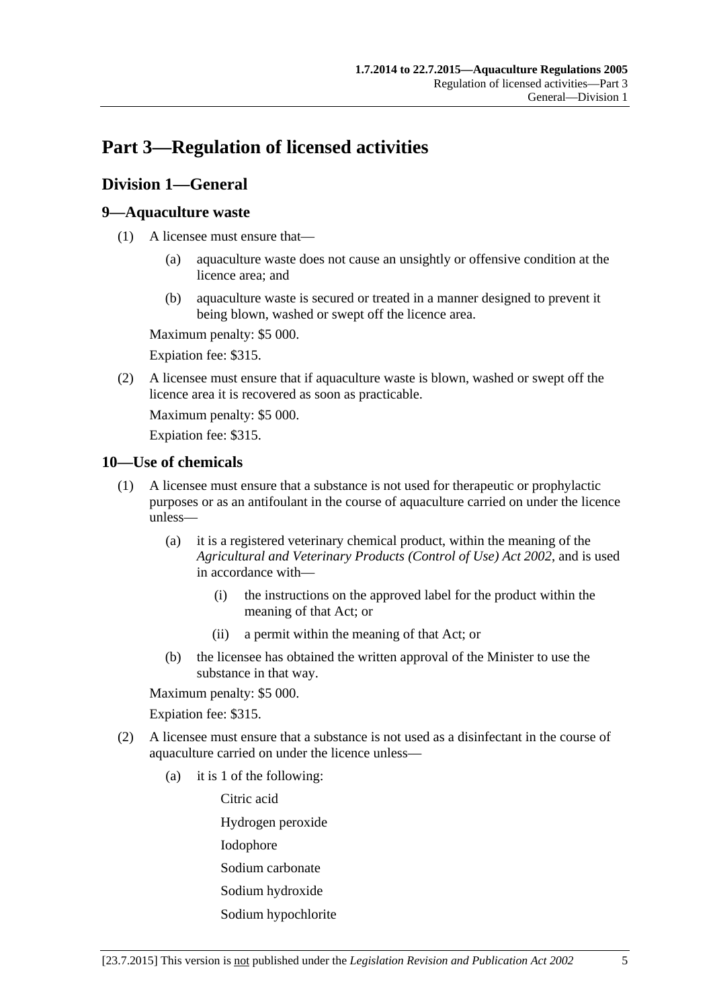# <span id="page-4-0"></span>**Part 3—Regulation of licensed activities**

# <span id="page-4-1"></span>**Division 1—General**

## <span id="page-4-2"></span>**9—Aquaculture waste**

- (1) A licensee must ensure that—
	- (a) aquaculture waste does not cause an unsightly or offensive condition at the licence area; and
	- (b) aquaculture waste is secured or treated in a manner designed to prevent it being blown, washed or swept off the licence area.

Maximum penalty: \$5 000.

Expiation fee: \$315.

(2) A licensee must ensure that if aquaculture waste is blown, washed or swept off the licence area it is recovered as soon as practicable.

Maximum penalty: \$5 000.

Expiation fee: \$315.

## <span id="page-4-3"></span>**10—Use of chemicals**

- (1) A licensee must ensure that a substance is not used for therapeutic or prophylactic purposes or as an antifoulant in the course of aquaculture carried on under the licence unless—
	- (a) it is a registered veterinary chemical product, within the meaning of the *[Agricultural and Veterinary Products \(Control of Use\) Act](http://www.legislation.sa.gov.au/index.aspx?action=legref&type=act&legtitle=Agricultural%20and%20Veterinary%20Products%20(Control%20of%20Use)%20Act%202002) 2002*, and is used in accordance with—
		- (i) the instructions on the approved label for the product within the meaning of that Act; or
		- (ii) a permit within the meaning of that Act; or
	- (b) the licensee has obtained the written approval of the Minister to use the substance in that way.

Maximum penalty: \$5 000.

Expiation fee: \$315.

- (2) A licensee must ensure that a substance is not used as a disinfectant in the course of aquaculture carried on under the licence unless—
	- (a) it is 1 of the following:

Citric acid

Hydrogen peroxide

- Iodophore
- Sodium carbonate
- Sodium hydroxide
- Sodium hypochlorite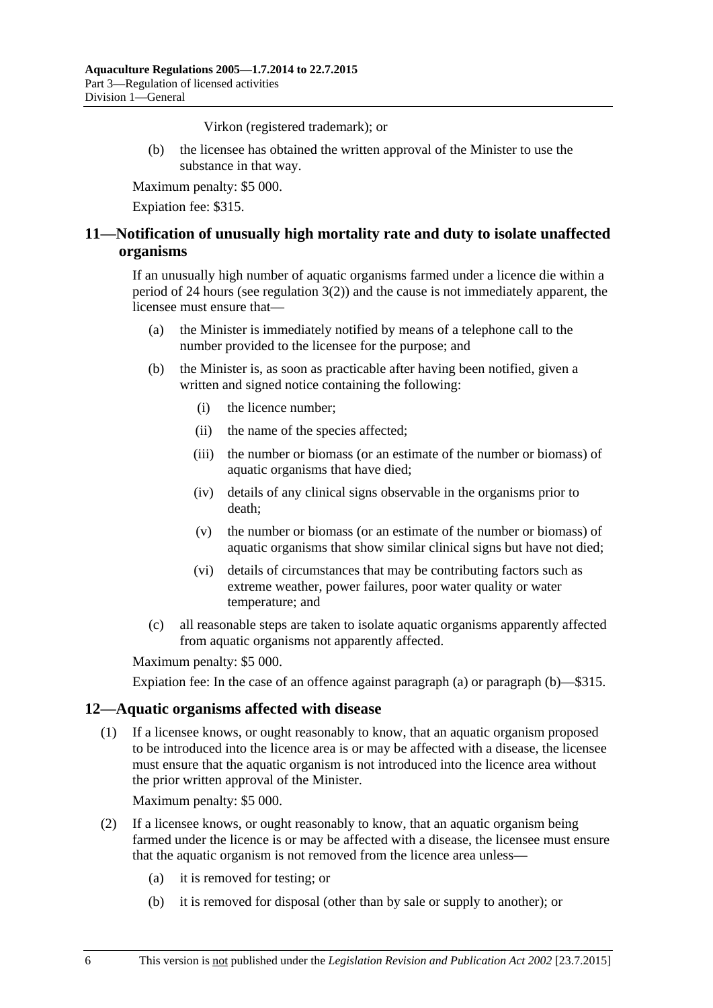Virkon (registered trademark); or

(b) the licensee has obtained the written approval of the Minister to use the substance in that way.

Maximum penalty: \$5 000.

Expiation fee: \$315.

# <span id="page-5-0"></span>**11—Notification of unusually high mortality rate and duty to isolate unaffected organisms**

If an unusually high number of aquatic organisms farmed under a licence die within a period of 24 hours (see [regulation](#page-2-3) 3(2)) and the cause is not immediately apparent, the licensee must ensure that—

- <span id="page-5-2"></span>(a) the Minister is immediately notified by means of a telephone call to the number provided to the licensee for the purpose; and
- <span id="page-5-3"></span>(b) the Minister is, as soon as practicable after having been notified, given a written and signed notice containing the following:
	- (i) the licence number;
	- (ii) the name of the species affected;
	- (iii) the number or biomass (or an estimate of the number or biomass) of aquatic organisms that have died;
	- (iv) details of any clinical signs observable in the organisms prior to death;
	- (v) the number or biomass (or an estimate of the number or biomass) of aquatic organisms that show similar clinical signs but have not died;
	- (vi) details of circumstances that may be contributing factors such as extreme weather, power failures, poor water quality or water temperature; and
- (c) all reasonable steps are taken to isolate aquatic organisms apparently affected from aquatic organisms not apparently affected.

Maximum penalty: \$5 000.

Expiation fee: In the case of an offence against [paragraph](#page-5-2) (a) or [paragraph](#page-5-3) (b)—\$315.

#### <span id="page-5-1"></span>**12—Aquatic organisms affected with disease**

(1) If a licensee knows, or ought reasonably to know, that an aquatic organism proposed to be introduced into the licence area is or may be affected with a disease, the licensee must ensure that the aquatic organism is not introduced into the licence area without the prior written approval of the Minister.

Maximum penalty: \$5 000.

- (2) If a licensee knows, or ought reasonably to know, that an aquatic organism being farmed under the licence is or may be affected with a disease, the licensee must ensure that the aquatic organism is not removed from the licence area unless—
	- (a) it is removed for testing; or
	- (b) it is removed for disposal (other than by sale or supply to another); or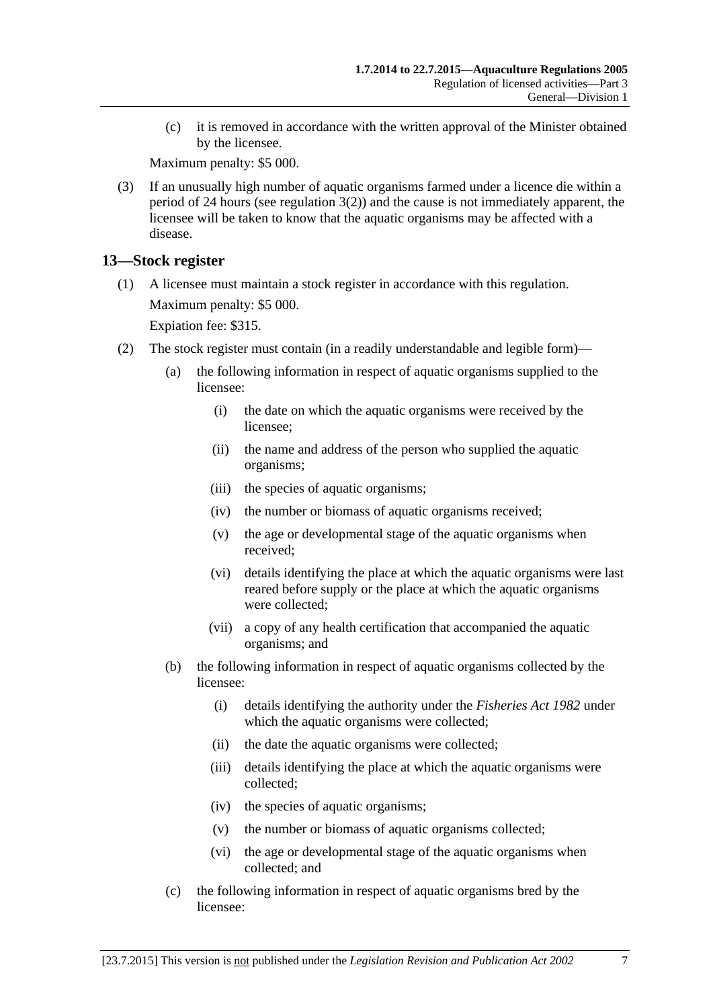(c) it is removed in accordance with the written approval of the Minister obtained by the licensee.

Maximum penalty: \$5 000.

(3) If an unusually high number of aquatic organisms farmed under a licence die within a period of 24 hours (see [regulation](#page-2-3) 3(2)) and the cause is not immediately apparent, the licensee will be taken to know that the aquatic organisms may be affected with a disease.

# <span id="page-6-0"></span>**13—Stock register**

(1) A licensee must maintain a stock register in accordance with this regulation. Maximum penalty: \$5 000.

Expiation fee: \$315.

- (2) The stock register must contain (in a readily understandable and legible form)—
	- (a) the following information in respect of aquatic organisms supplied to the licensee:
		- (i) the date on which the aquatic organisms were received by the licensee;
		- (ii) the name and address of the person who supplied the aquatic organisms;
		- (iii) the species of aquatic organisms;
		- (iv) the number or biomass of aquatic organisms received;
		- (v) the age or developmental stage of the aquatic organisms when received;
		- (vi) details identifying the place at which the aquatic organisms were last reared before supply or the place at which the aquatic organisms were collected;
		- (vii) a copy of any health certification that accompanied the aquatic organisms; and
	- (b) the following information in respect of aquatic organisms collected by the licensee:
		- (i) details identifying the authority under the *[Fisheries Act](http://www.legislation.sa.gov.au/index.aspx?action=legref&type=act&legtitle=Fisheries%20Act%201982) 1982* under which the aquatic organisms were collected;
		- (ii) the date the aquatic organisms were collected;
		- (iii) details identifying the place at which the aquatic organisms were collected;
		- (iv) the species of aquatic organisms;
		- (v) the number or biomass of aquatic organisms collected;
		- (vi) the age or developmental stage of the aquatic organisms when collected; and
	- (c) the following information in respect of aquatic organisms bred by the licensee: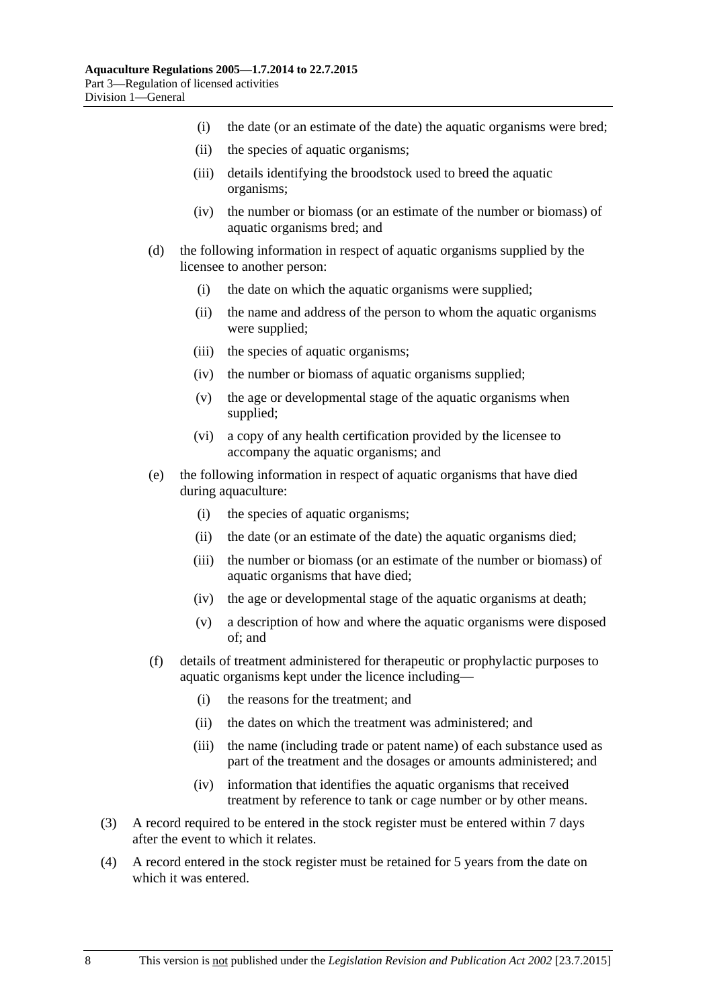- (i) the date (or an estimate of the date) the aquatic organisms were bred;
- (ii) the species of aquatic organisms;
- (iii) details identifying the broodstock used to breed the aquatic organisms;
- (iv) the number or biomass (or an estimate of the number or biomass) of aquatic organisms bred; and
- (d) the following information in respect of aquatic organisms supplied by the licensee to another person:
	- (i) the date on which the aquatic organisms were supplied;
	- (ii) the name and address of the person to whom the aquatic organisms were supplied;
	- (iii) the species of aquatic organisms;
	- (iv) the number or biomass of aquatic organisms supplied;
	- (v) the age or developmental stage of the aquatic organisms when supplied;
	- (vi) a copy of any health certification provided by the licensee to accompany the aquatic organisms; and
- (e) the following information in respect of aquatic organisms that have died during aquaculture:
	- (i) the species of aquatic organisms;
	- (ii) the date (or an estimate of the date) the aquatic organisms died;
	- (iii) the number or biomass (or an estimate of the number or biomass) of aquatic organisms that have died;
	- (iv) the age or developmental stage of the aquatic organisms at death;
	- (v) a description of how and where the aquatic organisms were disposed of; and
- (f) details of treatment administered for therapeutic or prophylactic purposes to aquatic organisms kept under the licence including—
	- (i) the reasons for the treatment; and
	- (ii) the dates on which the treatment was administered; and
	- (iii) the name (including trade or patent name) of each substance used as part of the treatment and the dosages or amounts administered; and
	- (iv) information that identifies the aquatic organisms that received treatment by reference to tank or cage number or by other means.
- (3) A record required to be entered in the stock register must be entered within 7 days after the event to which it relates.
- (4) A record entered in the stock register must be retained for 5 years from the date on which it was entered.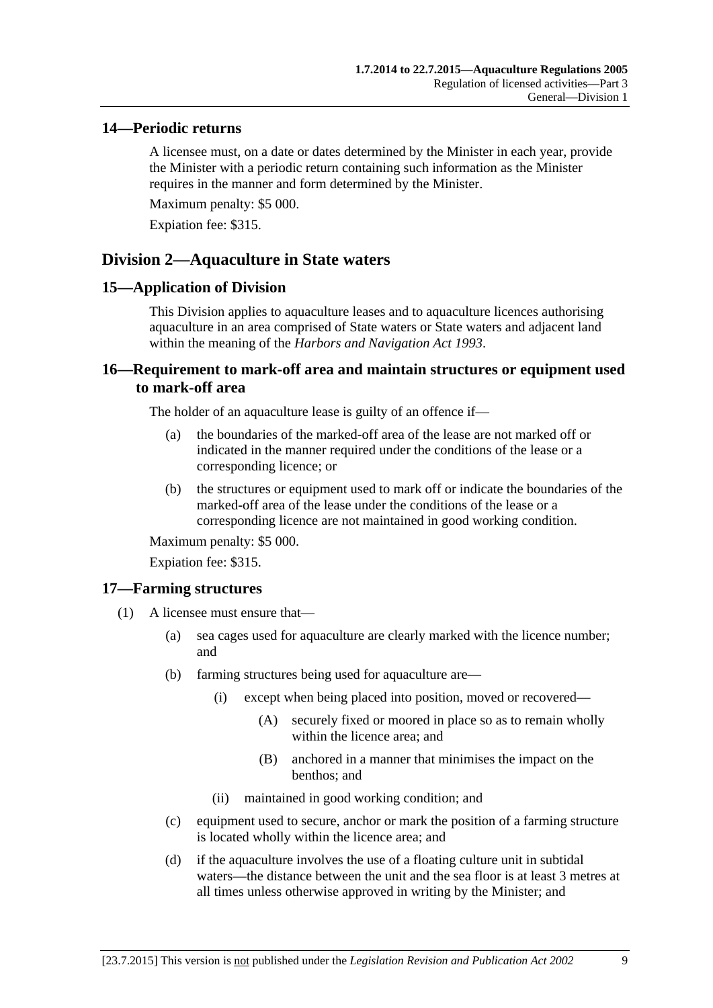### <span id="page-8-0"></span>**14—Periodic returns**

A licensee must, on a date or dates determined by the Minister in each year, provide the Minister with a periodic return containing such information as the Minister requires in the manner and form determined by the Minister.

Maximum penalty: \$5 000.

Expiation fee: \$315.

# <span id="page-8-1"></span>**Division 2—Aquaculture in State waters**

#### <span id="page-8-2"></span>**15—Application of Division**

This Division applies to aquaculture leases and to aquaculture licences authorising aquaculture in an area comprised of State waters or State waters and adjacent land within the meaning of the *[Harbors and Navigation Act](http://www.legislation.sa.gov.au/index.aspx?action=legref&type=act&legtitle=Harbors%20and%20Navigation%20Act%201993) 1993*.

## <span id="page-8-3"></span>**16—Requirement to mark-off area and maintain structures or equipment used to mark-off area**

The holder of an aquaculture lease is guilty of an offence if—

- (a) the boundaries of the marked-off area of the lease are not marked off or indicated in the manner required under the conditions of the lease or a corresponding licence; or
- (b) the structures or equipment used to mark off or indicate the boundaries of the marked-off area of the lease under the conditions of the lease or a corresponding licence are not maintained in good working condition.

Maximum penalty: \$5 000.

Expiation fee: \$315.

#### <span id="page-8-4"></span>**17—Farming structures**

- (1) A licensee must ensure that—
	- (a) sea cages used for aquaculture are clearly marked with the licence number; and
	- (b) farming structures being used for aquaculture are—
		- (i) except when being placed into position, moved or recovered—
			- (A) securely fixed or moored in place so as to remain wholly within the licence area; and
			- (B) anchored in a manner that minimises the impact on the benthos; and
		- (ii) maintained in good working condition; and
	- (c) equipment used to secure, anchor or mark the position of a farming structure is located wholly within the licence area; and
	- (d) if the aquaculture involves the use of a floating culture unit in subtidal waters—the distance between the unit and the sea floor is at least 3 metres at all times unless otherwise approved in writing by the Minister; and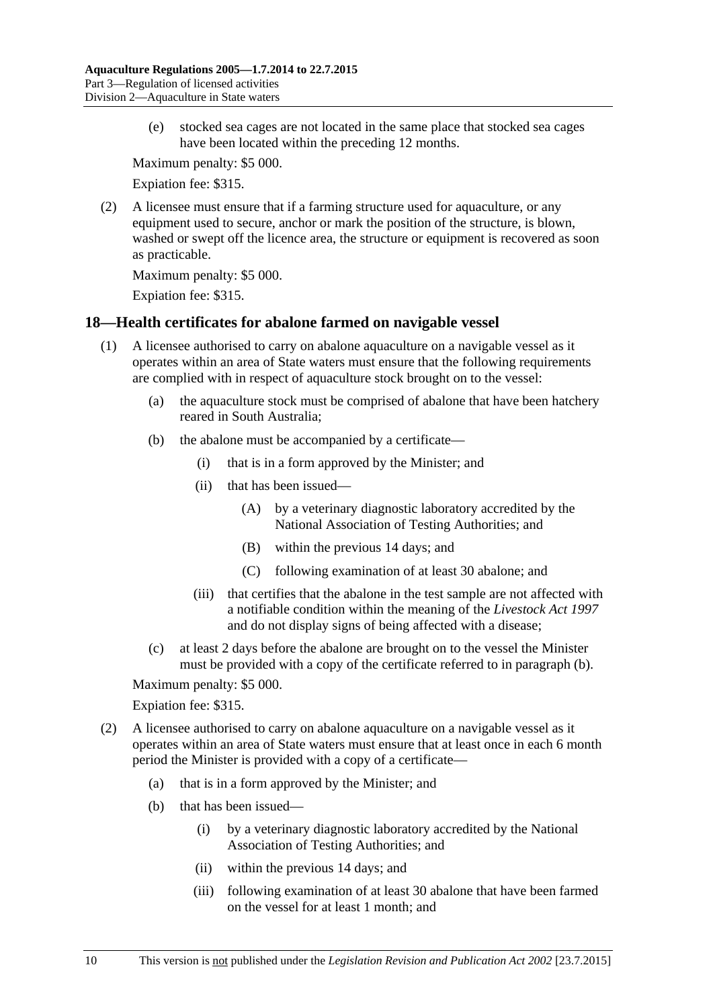(e) stocked sea cages are not located in the same place that stocked sea cages have been located within the preceding 12 months.

Maximum penalty: \$5 000.

Expiation fee: \$315.

(2) A licensee must ensure that if a farming structure used for aquaculture, or any equipment used to secure, anchor or mark the position of the structure, is blown, washed or swept off the licence area, the structure or equipment is recovered as soon as practicable.

Maximum penalty: \$5 000.

Expiation fee: \$315.

#### <span id="page-9-0"></span>**18—Health certificates for abalone farmed on navigable vessel**

- <span id="page-9-1"></span>(1) A licensee authorised to carry on abalone aquaculture on a navigable vessel as it operates within an area of State waters must ensure that the following requirements are complied with in respect of aquaculture stock brought on to the vessel:
	- (a) the aquaculture stock must be comprised of abalone that have been hatchery reared in South Australia;
	- (b) the abalone must be accompanied by a certificate—
		- (i) that is in a form approved by the Minister; and
		- (ii) that has been issued—
			- (A) by a veterinary diagnostic laboratory accredited by the National Association of Testing Authorities; and
			- (B) within the previous 14 days; and
			- (C) following examination of at least 30 abalone; and
		- (iii) that certifies that the abalone in the test sample are not affected with a notifiable condition within the meaning of the *[Livestock Act](http://www.legislation.sa.gov.au/index.aspx?action=legref&type=act&legtitle=Livestock%20Act%201997) 1997* and do not display signs of being affected with a disease;
	- (c) at least 2 days before the abalone are brought on to the vessel the Minister must be provided with a copy of the certificate referred to in [paragraph](#page-9-1) (b).

Maximum penalty: \$5 000.

#### Expiation fee: \$315.

- (2) A licensee authorised to carry on abalone aquaculture on a navigable vessel as it operates within an area of State waters must ensure that at least once in each 6 month period the Minister is provided with a copy of a certificate—
	- (a) that is in a form approved by the Minister; and
	- (b) that has been issued—
		- (i) by a veterinary diagnostic laboratory accredited by the National Association of Testing Authorities; and
		- (ii) within the previous 14 days; and
		- (iii) following examination of at least 30 abalone that have been farmed on the vessel for at least 1 month; and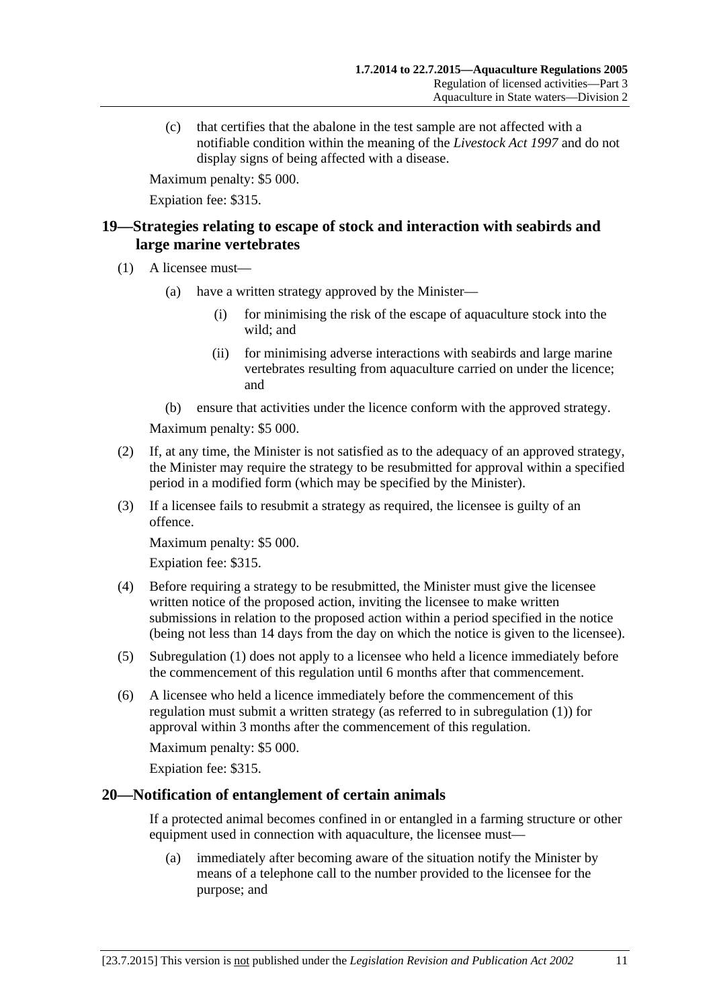(c) that certifies that the abalone in the test sample are not affected with a notifiable condition within the meaning of the *[Livestock Act](http://www.legislation.sa.gov.au/index.aspx?action=legref&type=act&legtitle=Livestock%20Act%201997) 1997* and do not display signs of being affected with a disease.

Maximum penalty: \$5 000.

Expiation fee: \$315.

# <span id="page-10-0"></span>**19—Strategies relating to escape of stock and interaction with seabirds and large marine vertebrates**

- <span id="page-10-2"></span>(1) A licensee must—
	- (a) have a written strategy approved by the Minister—
		- (i) for minimising the risk of the escape of aquaculture stock into the wild; and
		- (ii) for minimising adverse interactions with seabirds and large marine vertebrates resulting from aquaculture carried on under the licence; and
	- (b) ensure that activities under the licence conform with the approved strategy.

Maximum penalty: \$5 000.

- (2) If, at any time, the Minister is not satisfied as to the adequacy of an approved strategy, the Minister may require the strategy to be resubmitted for approval within a specified period in a modified form (which may be specified by the Minister).
- (3) If a licensee fails to resubmit a strategy as required, the licensee is guilty of an offence.

Maximum penalty: \$5 000.

Expiation fee: \$315.

- (4) Before requiring a strategy to be resubmitted, the Minister must give the licensee written notice of the proposed action, inviting the licensee to make written submissions in relation to the proposed action within a period specified in the notice (being not less than 14 days from the day on which the notice is given to the licensee).
- (5) [Subregulation](#page-10-2) (1) does not apply to a licensee who held a licence immediately before the commencement of this regulation until 6 months after that commencement.
- (6) A licensee who held a licence immediately before the commencement of this regulation must submit a written strategy (as referred to in [subregulation](#page-10-2) (1)) for approval within 3 months after the commencement of this regulation.

Maximum penalty: \$5 000.

Expiation fee: \$315.

#### <span id="page-10-1"></span>**20—Notification of entanglement of certain animals**

If a protected animal becomes confined in or entangled in a farming structure or other equipment used in connection with aquaculture, the licensee must—

(a) immediately after becoming aware of the situation notify the Minister by means of a telephone call to the number provided to the licensee for the purpose; and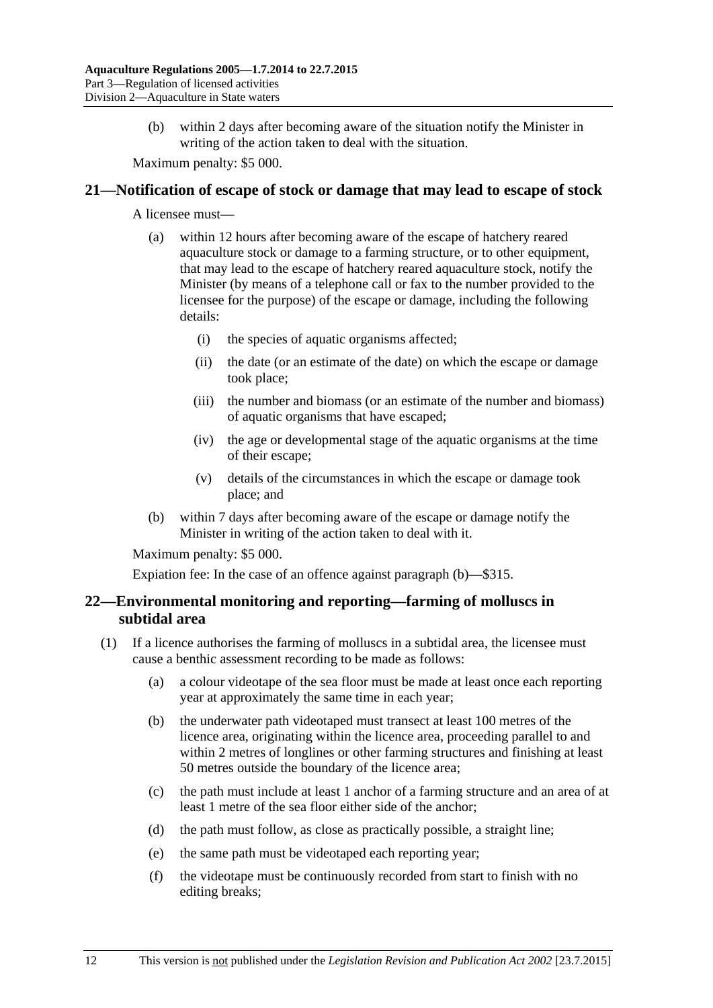(b) within 2 days after becoming aware of the situation notify the Minister in writing of the action taken to deal with the situation.

Maximum penalty: \$5 000.

#### <span id="page-11-0"></span>**21—Notification of escape of stock or damage that may lead to escape of stock**

A licensee must—

- (a) within 12 hours after becoming aware of the escape of hatchery reared aquaculture stock or damage to a farming structure, or to other equipment, that may lead to the escape of hatchery reared aquaculture stock, notify the Minister (by means of a telephone call or fax to the number provided to the licensee for the purpose) of the escape or damage, including the following details:
	- (i) the species of aquatic organisms affected;
	- (ii) the date (or an estimate of the date) on which the escape or damage took place;
	- (iii) the number and biomass (or an estimate of the number and biomass) of aquatic organisms that have escaped;
	- (iv) the age or developmental stage of the aquatic organisms at the time of their escape;
	- (v) details of the circumstances in which the escape or damage took place; and
- <span id="page-11-2"></span>(b) within 7 days after becoming aware of the escape or damage notify the Minister in writing of the action taken to deal with it.

Maximum penalty: \$5 000.

Expiation fee: In the case of an offence against [paragraph](#page-11-2) (b)—\$315.

# <span id="page-11-1"></span>**22—Environmental monitoring and reporting—farming of molluscs in subtidal area**

- (1) If a licence authorises the farming of molluscs in a subtidal area, the licensee must cause a benthic assessment recording to be made as follows:
	- (a) a colour videotape of the sea floor must be made at least once each reporting year at approximately the same time in each year;
	- (b) the underwater path videotaped must transect at least 100 metres of the licence area, originating within the licence area, proceeding parallel to and within 2 metres of longlines or other farming structures and finishing at least 50 metres outside the boundary of the licence area;
	- (c) the path must include at least 1 anchor of a farming structure and an area of at least 1 metre of the sea floor either side of the anchor;
	- (d) the path must follow, as close as practically possible, a straight line;
	- (e) the same path must be videotaped each reporting year;
	- (f) the videotape must be continuously recorded from start to finish with no editing breaks;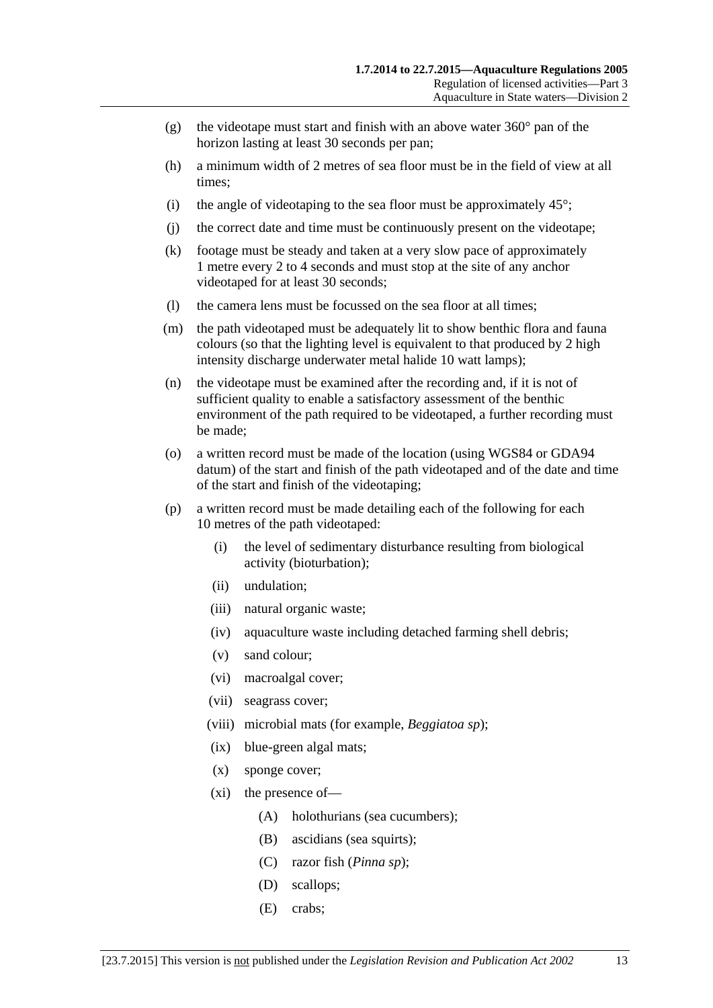- (g) the videotape must start and finish with an above water  $360^{\circ}$  pan of the horizon lasting at least 30 seconds per pan;
- (h) a minimum width of 2 metres of sea floor must be in the field of view at all times;
- (i) the angle of videotaping to the sea floor must be approximately  $45^\circ$ ;
- (j) the correct date and time must be continuously present on the videotape;
- (k) footage must be steady and taken at a very slow pace of approximately 1 metre every 2 to 4 seconds and must stop at the site of any anchor videotaped for at least 30 seconds;
- (l) the camera lens must be focussed on the sea floor at all times;
- (m) the path videotaped must be adequately lit to show benthic flora and fauna colours (so that the lighting level is equivalent to that produced by 2 high intensity discharge underwater metal halide 10 watt lamps);
- (n) the videotape must be examined after the recording and, if it is not of sufficient quality to enable a satisfactory assessment of the benthic environment of the path required to be videotaped, a further recording must be made;
- (o) a written record must be made of the location (using WGS84 or GDA94 datum) of the start and finish of the path videotaped and of the date and time of the start and finish of the videotaping;
- (p) a written record must be made detailing each of the following for each 10 metres of the path videotaped:
	- (i) the level of sedimentary disturbance resulting from biological activity (bioturbation);
	- (ii) undulation;
	- (iii) natural organic waste;
	- (iv) aquaculture waste including detached farming shell debris;
	- (v) sand colour;
	- (vi) macroalgal cover;
	- (vii) seagrass cover;
	- (viii) microbial mats (for example, *Beggiatoa sp*);
	- (ix) blue-green algal mats;
	- (x) sponge cover;
	- (xi) the presence of—
		- (A) holothurians (sea cucumbers);
		- (B) ascidians (sea squirts);
		- (C) razor fish (*Pinna sp*);
		- (D) scallops;
		- (E) crabs;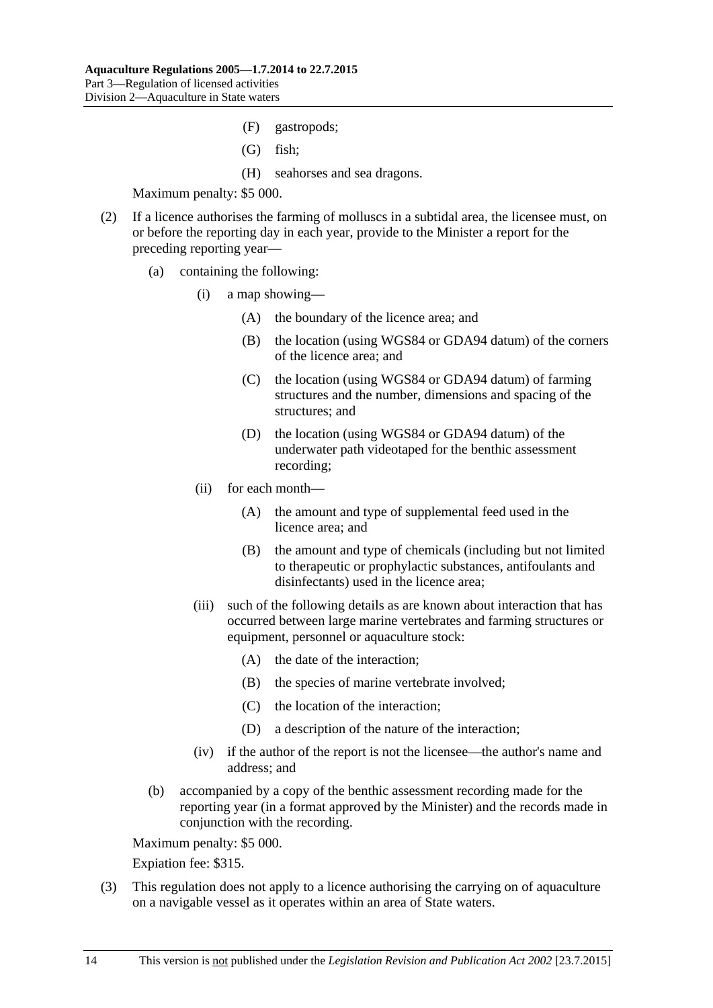- (F) gastropods;
- (G) fish;
- (H) seahorses and sea dragons.

- (2) If a licence authorises the farming of molluscs in a subtidal area, the licensee must, on or before the reporting day in each year, provide to the Minister a report for the preceding reporting year—
	- (a) containing the following:
		- (i) a map showing—
			- (A) the boundary of the licence area; and
			- (B) the location (using WGS84 or GDA94 datum) of the corners of the licence area; and
			- (C) the location (using WGS84 or GDA94 datum) of farming structures and the number, dimensions and spacing of the structures; and
			- (D) the location (using WGS84 or GDA94 datum) of the underwater path videotaped for the benthic assessment recording;
		- (ii) for each month—
			- (A) the amount and type of supplemental feed used in the licence area; and
			- (B) the amount and type of chemicals (including but not limited to therapeutic or prophylactic substances, antifoulants and disinfectants) used in the licence area;
		- (iii) such of the following details as are known about interaction that has occurred between large marine vertebrates and farming structures or equipment, personnel or aquaculture stock:
			- (A) the date of the interaction;
			- (B) the species of marine vertebrate involved;
			- (C) the location of the interaction;
			- (D) a description of the nature of the interaction;
		- (iv) if the author of the report is not the licensee—the author's name and address; and
	- (b) accompanied by a copy of the benthic assessment recording made for the reporting year (in a format approved by the Minister) and the records made in conjunction with the recording.

Maximum penalty: \$5 000.

Expiation fee: \$315.

(3) This regulation does not apply to a licence authorising the carrying on of aquaculture on a navigable vessel as it operates within an area of State waters.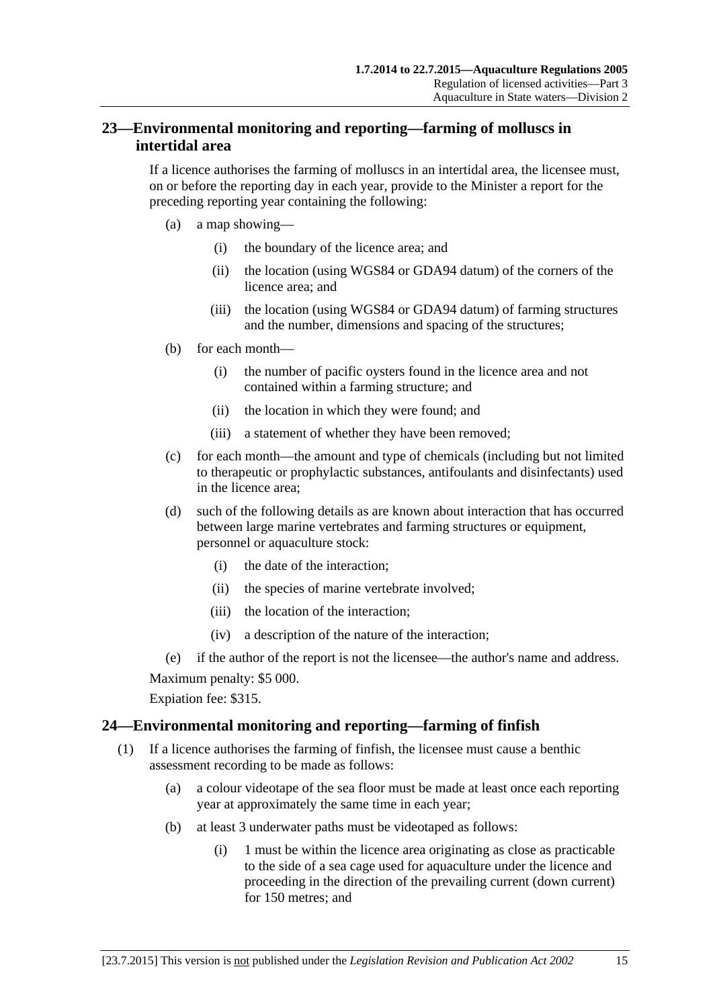# <span id="page-14-0"></span>**23—Environmental monitoring and reporting—farming of molluscs in intertidal area**

If a licence authorises the farming of molluscs in an intertidal area, the licensee must, on or before the reporting day in each year, provide to the Minister a report for the preceding reporting year containing the following:

- (a) a map showing—
	- (i) the boundary of the licence area; and
	- (ii) the location (using WGS84 or GDA94 datum) of the corners of the licence area; and
	- (iii) the location (using WGS84 or GDA94 datum) of farming structures and the number, dimensions and spacing of the structures;
- (b) for each month—
	- (i) the number of pacific oysters found in the licence area and not contained within a farming structure; and
	- (ii) the location in which they were found; and
	- (iii) a statement of whether they have been removed;
- (c) for each month—the amount and type of chemicals (including but not limited to therapeutic or prophylactic substances, antifoulants and disinfectants) used in the licence area;
- (d) such of the following details as are known about interaction that has occurred between large marine vertebrates and farming structures or equipment, personnel or aquaculture stock:
	- (i) the date of the interaction;
	- (ii) the species of marine vertebrate involved;
	- (iii) the location of the interaction;
	- (iv) a description of the nature of the interaction;

(e) if the author of the report is not the licensee—the author's name and address.

Maximum penalty: \$5 000.

Expiation fee: \$315.

## <span id="page-14-2"></span><span id="page-14-1"></span>**24—Environmental monitoring and reporting—farming of finfish**

- (1) If a licence authorises the farming of finfish, the licensee must cause a benthic assessment recording to be made as follows:
	- (a) a colour videotape of the sea floor must be made at least once each reporting year at approximately the same time in each year;
	- (b) at least 3 underwater paths must be videotaped as follows:
		- (i) 1 must be within the licence area originating as close as practicable to the side of a sea cage used for aquaculture under the licence and proceeding in the direction of the prevailing current (down current) for 150 metres; and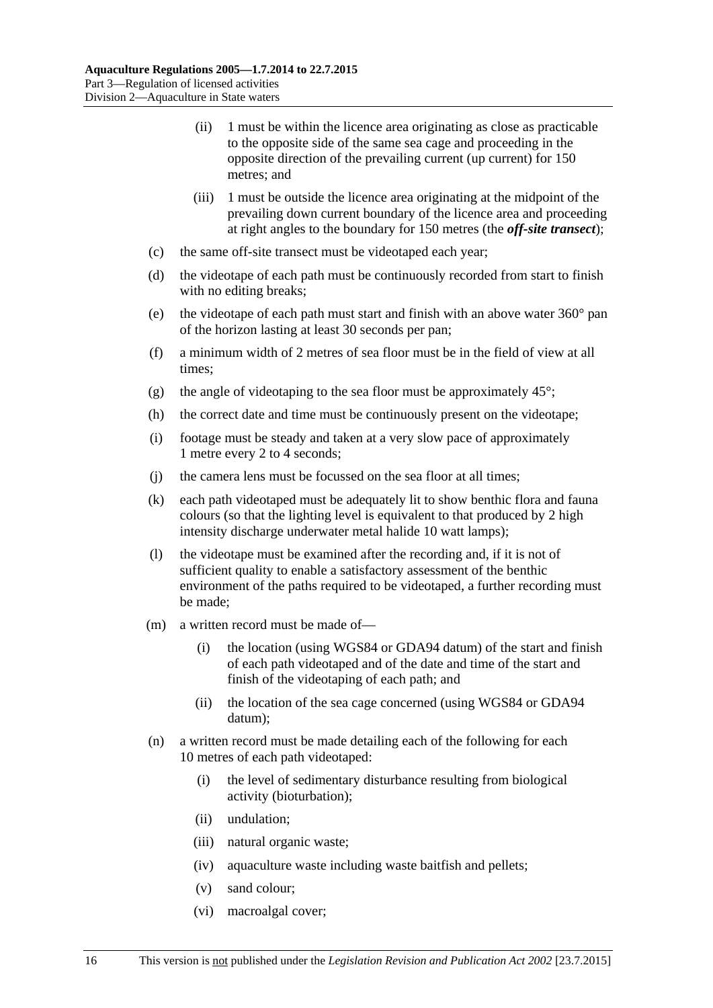- (ii) 1 must be within the licence area originating as close as practicable to the opposite side of the same sea cage and proceeding in the opposite direction of the prevailing current (up current) for 150 metres; and
- (iii) 1 must be outside the licence area originating at the midpoint of the prevailing down current boundary of the licence area and proceeding at right angles to the boundary for 150 metres (the *off-site transect*);
- (c) the same off-site transect must be videotaped each year;
- (d) the videotape of each path must be continuously recorded from start to finish with no editing breaks;
- (e) the videotape of each path must start and finish with an above water 360° pan of the horizon lasting at least 30 seconds per pan;
- (f) a minimum width of 2 metres of sea floor must be in the field of view at all times;
- (g) the angle of videotaping to the sea floor must be approximately  $45^{\circ}$ ;
- (h) the correct date and time must be continuously present on the videotape;
- (i) footage must be steady and taken at a very slow pace of approximately 1 metre every 2 to 4 seconds;
- (j) the camera lens must be focussed on the sea floor at all times;
- (k) each path videotaped must be adequately lit to show benthic flora and fauna colours (so that the lighting level is equivalent to that produced by 2 high intensity discharge underwater metal halide 10 watt lamps);
- (l) the videotape must be examined after the recording and, if it is not of sufficient quality to enable a satisfactory assessment of the benthic environment of the paths required to be videotaped, a further recording must be made;
- (m) a written record must be made of—
	- (i) the location (using WGS84 or GDA94 datum) of the start and finish of each path videotaped and of the date and time of the start and finish of the videotaping of each path; and
	- (ii) the location of the sea cage concerned (using WGS84 or GDA94 datum);
- (n) a written record must be made detailing each of the following for each 10 metres of each path videotaped:
	- (i) the level of sedimentary disturbance resulting from biological activity (bioturbation);
	- (ii) undulation;
	- (iii) natural organic waste;
	- (iv) aquaculture waste including waste baitfish and pellets;
	- (v) sand colour;
	- (vi) macroalgal cover;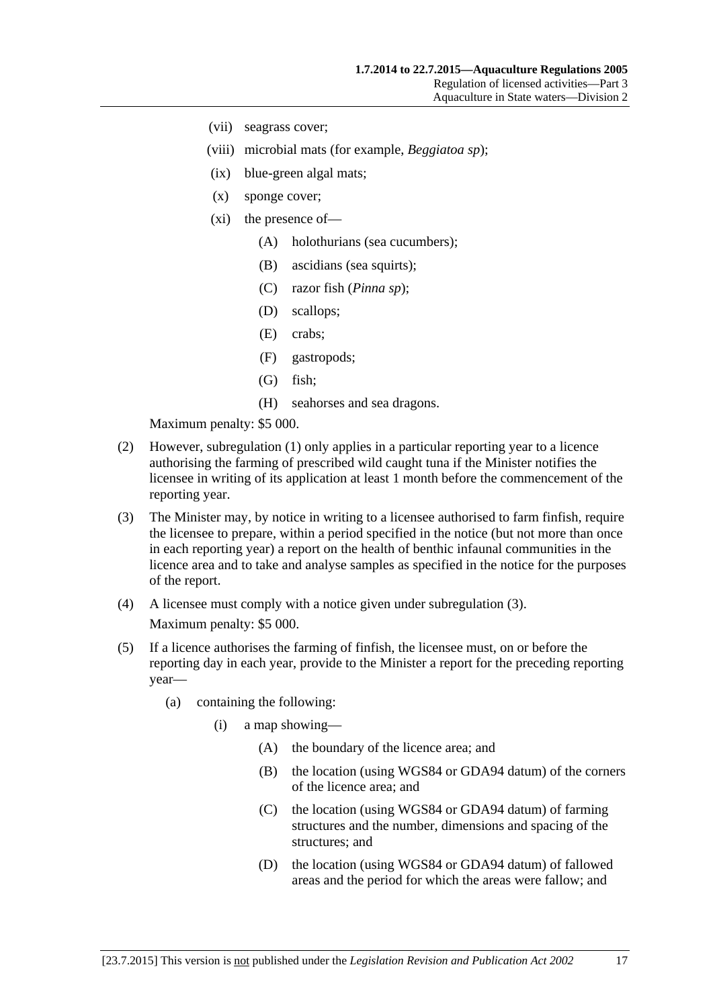- (vii) seagrass cover;
- (viii) microbial mats (for example, *Beggiatoa sp*);
- (ix) blue-green algal mats;
- (x) sponge cover;
- (xi) the presence of—
	- (A) holothurians (sea cucumbers);
	- (B) ascidians (sea squirts);
	- (C) razor fish (*Pinna sp*);
	- (D) scallops;
	- (E) crabs;
	- (F) gastropods;
	- (G) fish;
	- (H) seahorses and sea dragons.

- (2) However, [subregulation](#page-14-2) (1) only applies in a particular reporting year to a licence authorising the farming of prescribed wild caught tuna if the Minister notifies the licensee in writing of its application at least 1 month before the commencement of the reporting year.
- <span id="page-16-0"></span>(3) The Minister may, by notice in writing to a licensee authorised to farm finfish, require the licensee to prepare, within a period specified in the notice (but not more than once in each reporting year) a report on the health of benthic infaunal communities in the licence area and to take and analyse samples as specified in the notice for the purposes of the report.
- (4) A licensee must comply with a notice given under [subregulation](#page-16-0) (3). Maximum penalty: \$5 000.
- (5) If a licence authorises the farming of finfish, the licensee must, on or before the reporting day in each year, provide to the Minister a report for the preceding reporting year—
	- (a) containing the following:
		- (i) a map showing—
			- (A) the boundary of the licence area; and
			- (B) the location (using WGS84 or GDA94 datum) of the corners of the licence area; and
			- (C) the location (using WGS84 or GDA94 datum) of farming structures and the number, dimensions and spacing of the structures; and
			- (D) the location (using WGS84 or GDA94 datum) of fallowed areas and the period for which the areas were fallow; and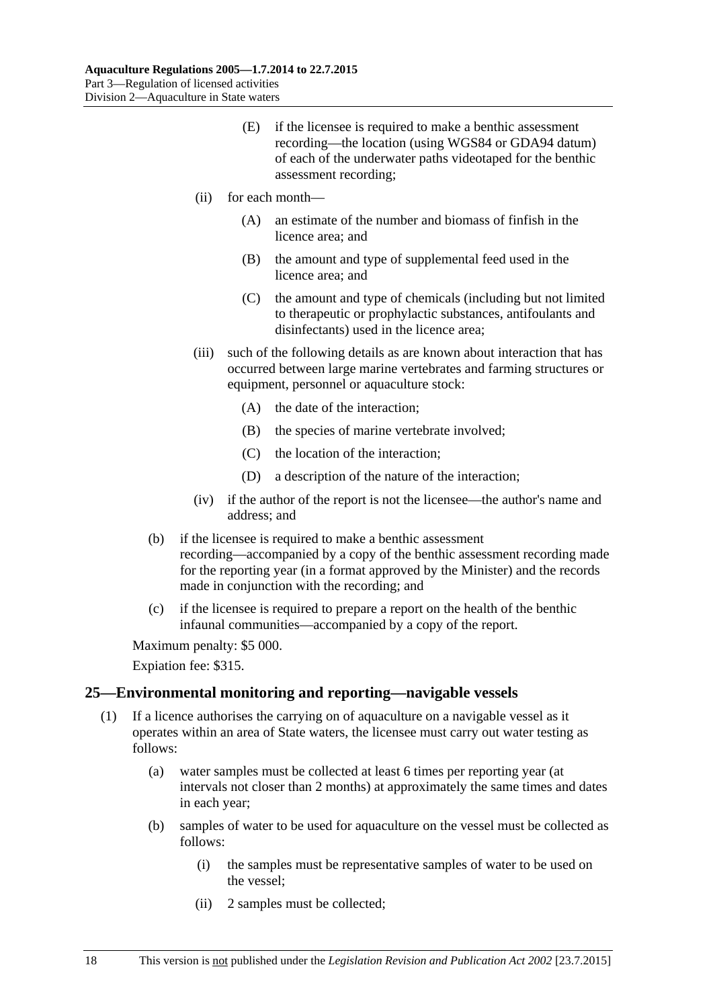- (E) if the licensee is required to make a benthic assessment recording—the location (using WGS84 or GDA94 datum) of each of the underwater paths videotaped for the benthic assessment recording;
- (ii) for each month—
	- (A) an estimate of the number and biomass of finfish in the licence area; and
	- (B) the amount and type of supplemental feed used in the licence area; and
	- (C) the amount and type of chemicals (including but not limited to therapeutic or prophylactic substances, antifoulants and disinfectants) used in the licence area;
- (iii) such of the following details as are known about interaction that has occurred between large marine vertebrates and farming structures or equipment, personnel or aquaculture stock:
	- (A) the date of the interaction;
	- (B) the species of marine vertebrate involved;
	- (C) the location of the interaction;
	- (D) a description of the nature of the interaction;
- (iv) if the author of the report is not the licensee—the author's name and address; and
- (b) if the licensee is required to make a benthic assessment recording—accompanied by a copy of the benthic assessment recording made for the reporting year (in a format approved by the Minister) and the records made in conjunction with the recording; and
- (c) if the licensee is required to prepare a report on the health of the benthic infaunal communities—accompanied by a copy of the report.

Expiation fee: \$315.

#### <span id="page-17-0"></span>**25—Environmental monitoring and reporting—navigable vessels**

- <span id="page-17-1"></span>(1) If a licence authorises the carrying on of aquaculture on a navigable vessel as it operates within an area of State waters, the licensee must carry out water testing as follows:
	- (a) water samples must be collected at least 6 times per reporting year (at intervals not closer than 2 months) at approximately the same times and dates in each year;
	- (b) samples of water to be used for aquaculture on the vessel must be collected as follows:
		- (i) the samples must be representative samples of water to be used on the vessel;
		- (ii) 2 samples must be collected;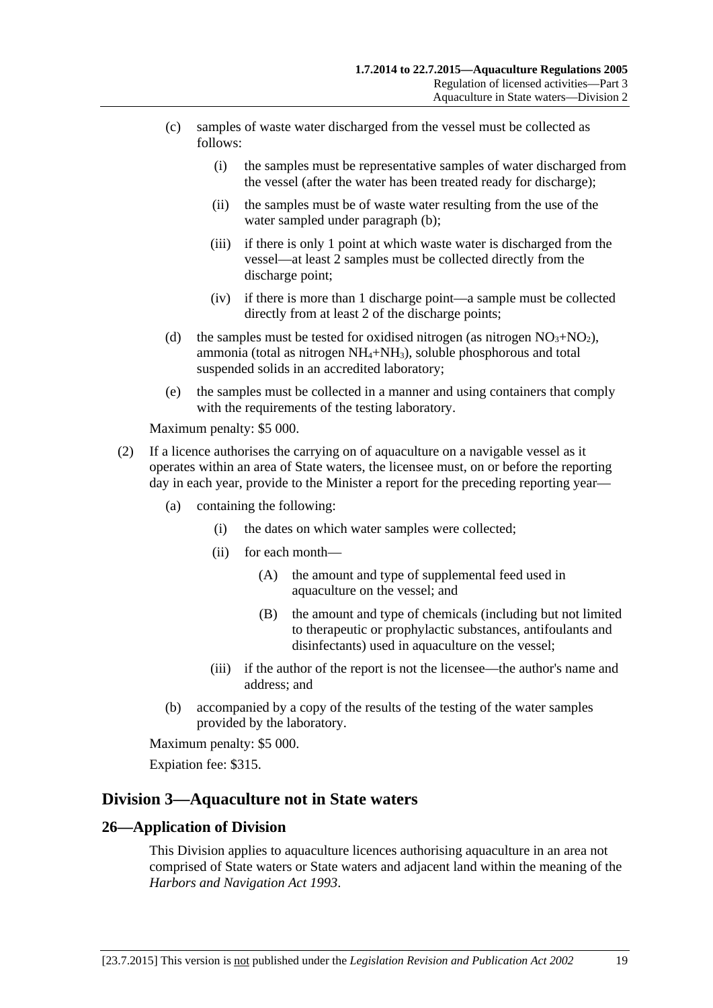- (c) samples of waste water discharged from the vessel must be collected as follows:
	- (i) the samples must be representative samples of water discharged from the vessel (after the water has been treated ready for discharge);
	- (ii) the samples must be of waste water resulting from the use of the water sampled under [paragraph](#page-17-1) (b);
	- (iii) if there is only 1 point at which waste water is discharged from the vessel—at least 2 samples must be collected directly from the discharge point;
	- (iv) if there is more than 1 discharge point—a sample must be collected directly from at least 2 of the discharge points;
- (d) the samples must be tested for oxidised nitrogen (as nitrogen  $NO<sub>3</sub>+NO<sub>2</sub>$ ), ammonia (total as nitrogen  $NH_4+NH_3$ ), soluble phosphorous and total suspended solids in an accredited laboratory;
- (e) the samples must be collected in a manner and using containers that comply with the requirements of the testing laboratory.

- (2) If a licence authorises the carrying on of aquaculture on a navigable vessel as it operates within an area of State waters, the licensee must, on or before the reporting day in each year, provide to the Minister a report for the preceding reporting year—
	- (a) containing the following:
		- (i) the dates on which water samples were collected;
		- (ii) for each month—
			- (A) the amount and type of supplemental feed used in aquaculture on the vessel; and
			- (B) the amount and type of chemicals (including but not limited to therapeutic or prophylactic substances, antifoulants and disinfectants) used in aquaculture on the vessel;
		- (iii) if the author of the report is not the licensee—the author's name and address; and
	- (b) accompanied by a copy of the results of the testing of the water samples provided by the laboratory.

Maximum penalty: \$5 000.

Expiation fee: \$315.

## <span id="page-18-0"></span>**Division 3—Aquaculture not in State waters**

#### <span id="page-18-1"></span>**26—Application of Division**

This Division applies to aquaculture licences authorising aquaculture in an area not comprised of State waters or State waters and adjacent land within the meaning of the *[Harbors and Navigation Act](http://www.legislation.sa.gov.au/index.aspx?action=legref&type=act&legtitle=Harbors%20and%20Navigation%20Act%201993) 1993*.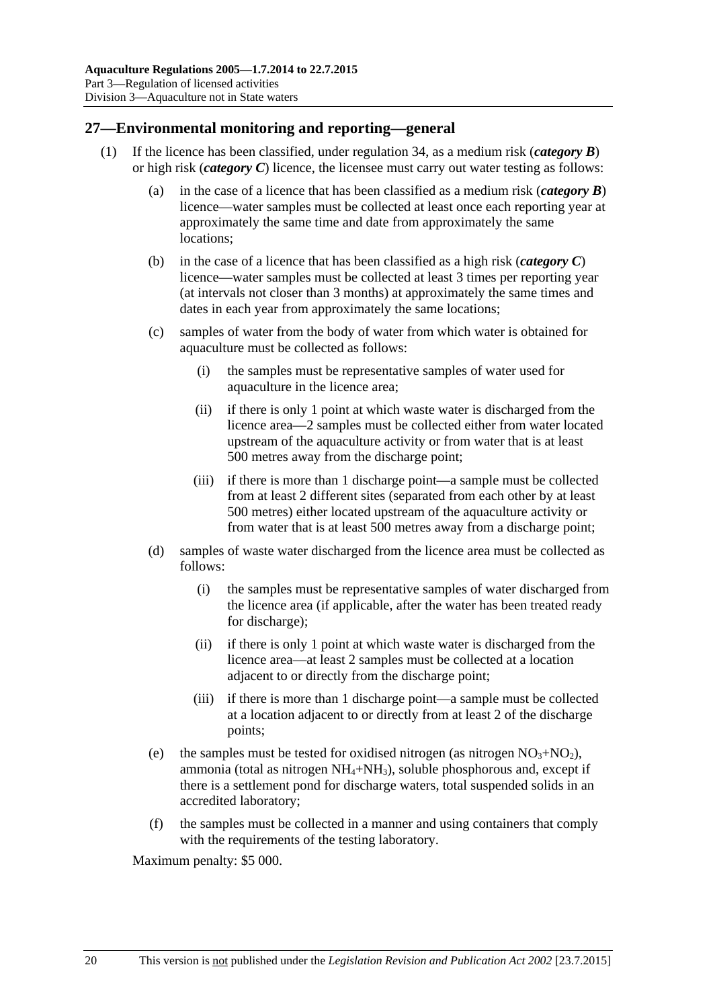## <span id="page-19-0"></span>**27—Environmental monitoring and reporting—general**

- (1) If the licence has been classified, under [regulation](#page-25-2) 34, as a medium risk (*category B*) or high risk (*category C*) licence, the licensee must carry out water testing as follows:
	- (a) in the case of a licence that has been classified as a medium risk (*category B*) licence—water samples must be collected at least once each reporting year at approximately the same time and date from approximately the same locations;
	- (b) in the case of a licence that has been classified as a high risk (*category C*) licence—water samples must be collected at least 3 times per reporting year (at intervals not closer than 3 months) at approximately the same times and dates in each year from approximately the same locations;
	- (c) samples of water from the body of water from which water is obtained for aquaculture must be collected as follows:
		- (i) the samples must be representative samples of water used for aquaculture in the licence area;
		- (ii) if there is only 1 point at which waste water is discharged from the licence area—2 samples must be collected either from water located upstream of the aquaculture activity or from water that is at least 500 metres away from the discharge point;
		- (iii) if there is more than 1 discharge point—a sample must be collected from at least 2 different sites (separated from each other by at least 500 metres) either located upstream of the aquaculture activity or from water that is at least 500 metres away from a discharge point;
	- (d) samples of waste water discharged from the licence area must be collected as follows:
		- (i) the samples must be representative samples of water discharged from the licence area (if applicable, after the water has been treated ready for discharge);
		- (ii) if there is only 1 point at which waste water is discharged from the licence area—at least 2 samples must be collected at a location adjacent to or directly from the discharge point;
		- (iii) if there is more than 1 discharge point—a sample must be collected at a location adjacent to or directly from at least 2 of the discharge points;
	- (e) the samples must be tested for oxidised nitrogen (as nitrogen  $NO<sub>3</sub>+NO<sub>2</sub>$ ), ammonia (total as nitrogen  $NH_4+NH_3$ ), soluble phosphorous and, except if there is a settlement pond for discharge waters, total suspended solids in an accredited laboratory;
	- (f) the samples must be collected in a manner and using containers that comply with the requirements of the testing laboratory.

Maximum penalty: \$5 000.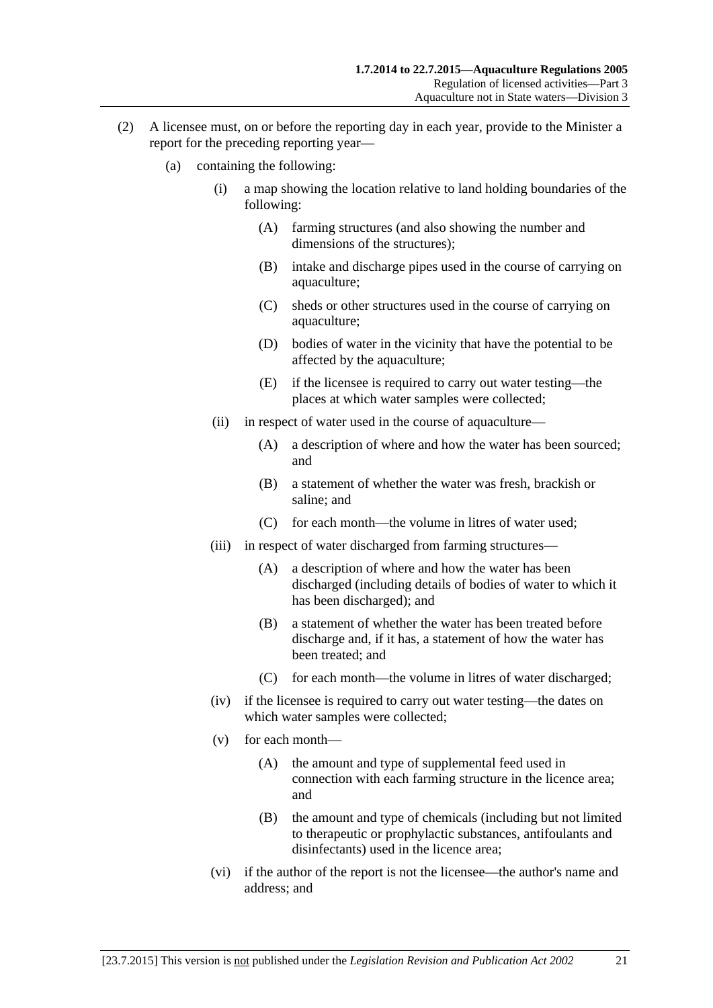- (2) A licensee must, on or before the reporting day in each year, provide to the Minister a report for the preceding reporting year—
	- (a) containing the following:
		- (i) a map showing the location relative to land holding boundaries of the following:
			- (A) farming structures (and also showing the number and dimensions of the structures);
			- (B) intake and discharge pipes used in the course of carrying on aquaculture;
			- (C) sheds or other structures used in the course of carrying on aquaculture;
			- (D) bodies of water in the vicinity that have the potential to be affected by the aquaculture;
			- (E) if the licensee is required to carry out water testing—the places at which water samples were collected;
		- (ii) in respect of water used in the course of aquaculture—
			- (A) a description of where and how the water has been sourced; and
			- (B) a statement of whether the water was fresh, brackish or saline; and
			- (C) for each month—the volume in litres of water used;
		- (iii) in respect of water discharged from farming structures—
			- (A) a description of where and how the water has been discharged (including details of bodies of water to which it has been discharged); and
			- (B) a statement of whether the water has been treated before discharge and, if it has, a statement of how the water has been treated; and
			- (C) for each month—the volume in litres of water discharged;
		- (iv) if the licensee is required to carry out water testing—the dates on which water samples were collected;
		- (v) for each month—
			- (A) the amount and type of supplemental feed used in connection with each farming structure in the licence area; and
			- (B) the amount and type of chemicals (including but not limited to therapeutic or prophylactic substances, antifoulants and disinfectants) used in the licence area;
		- (vi) if the author of the report is not the licensee—the author's name and address; and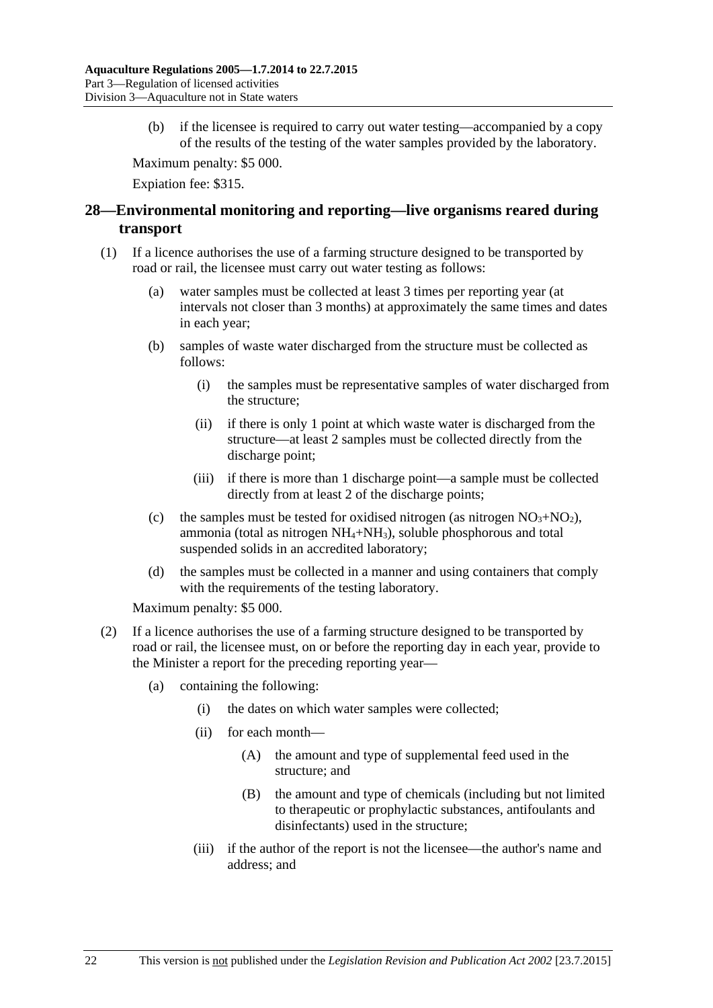(b) if the licensee is required to carry out water testing—accompanied by a copy of the results of the testing of the water samples provided by the laboratory.

Maximum penalty: \$5 000.

Expiation fee: \$315.

# <span id="page-21-0"></span>**28—Environmental monitoring and reporting—live organisms reared during transport**

- (1) If a licence authorises the use of a farming structure designed to be transported by road or rail, the licensee must carry out water testing as follows:
	- (a) water samples must be collected at least 3 times per reporting year (at intervals not closer than 3 months) at approximately the same times and dates in each year;
	- (b) samples of waste water discharged from the structure must be collected as follows:
		- (i) the samples must be representative samples of water discharged from the structure;
		- (ii) if there is only 1 point at which waste water is discharged from the structure—at least 2 samples must be collected directly from the discharge point;
		- (iii) if there is more than 1 discharge point—a sample must be collected directly from at least 2 of the discharge points;
	- (c) the samples must be tested for oxidised nitrogen (as nitrogen  $NO<sub>3</sub>+NO<sub>2</sub>$ ), ammonia (total as nitrogen  $NH_4+NH_3$ ), soluble phosphorous and total suspended solids in an accredited laboratory;
	- (d) the samples must be collected in a manner and using containers that comply with the requirements of the testing laboratory.

Maximum penalty: \$5 000.

- (2) If a licence authorises the use of a farming structure designed to be transported by road or rail, the licensee must, on or before the reporting day in each year, provide to the Minister a report for the preceding reporting year—
	- (a) containing the following:
		- (i) the dates on which water samples were collected;
		- (ii) for each month—
			- (A) the amount and type of supplemental feed used in the structure; and
			- (B) the amount and type of chemicals (including but not limited to therapeutic or prophylactic substances, antifoulants and disinfectants) used in the structure;
		- (iii) if the author of the report is not the licensee—the author's name and address; and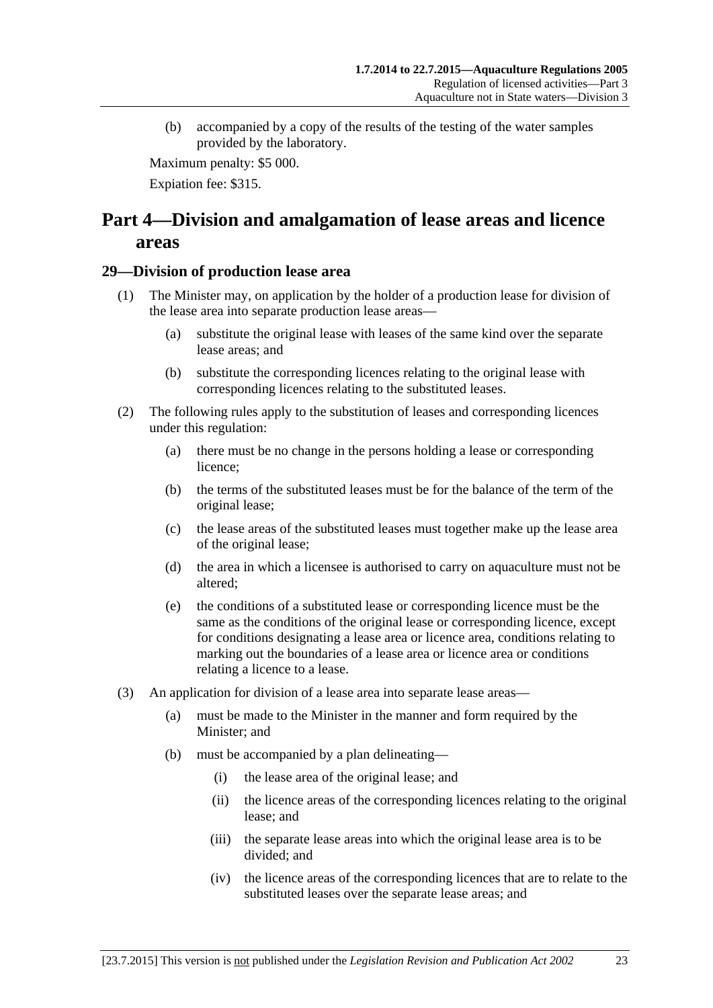(b) accompanied by a copy of the results of the testing of the water samples provided by the laboratory.

Maximum penalty: \$5 000.

Expiation fee: \$315.

# <span id="page-22-0"></span>**Part 4—Division and amalgamation of lease areas and licence areas**

# <span id="page-22-1"></span>**29—Division of production lease area**

- (1) The Minister may, on application by the holder of a production lease for division of the lease area into separate production lease areas—
	- (a) substitute the original lease with leases of the same kind over the separate lease areas; and
	- (b) substitute the corresponding licences relating to the original lease with corresponding licences relating to the substituted leases.
- (2) The following rules apply to the substitution of leases and corresponding licences under this regulation:
	- (a) there must be no change in the persons holding a lease or corresponding licence;
	- (b) the terms of the substituted leases must be for the balance of the term of the original lease;
	- (c) the lease areas of the substituted leases must together make up the lease area of the original lease;
	- (d) the area in which a licensee is authorised to carry on aquaculture must not be altered;
	- (e) the conditions of a substituted lease or corresponding licence must be the same as the conditions of the original lease or corresponding licence, except for conditions designating a lease area or licence area, conditions relating to marking out the boundaries of a lease area or licence area or conditions relating a licence to a lease.
- (3) An application for division of a lease area into separate lease areas—
	- (a) must be made to the Minister in the manner and form required by the Minister; and
	- (b) must be accompanied by a plan delineating—
		- (i) the lease area of the original lease; and
		- (ii) the licence areas of the corresponding licences relating to the original lease; and
		- (iii) the separate lease areas into which the original lease area is to be divided; and
		- (iv) the licence areas of the corresponding licences that are to relate to the substituted leases over the separate lease areas; and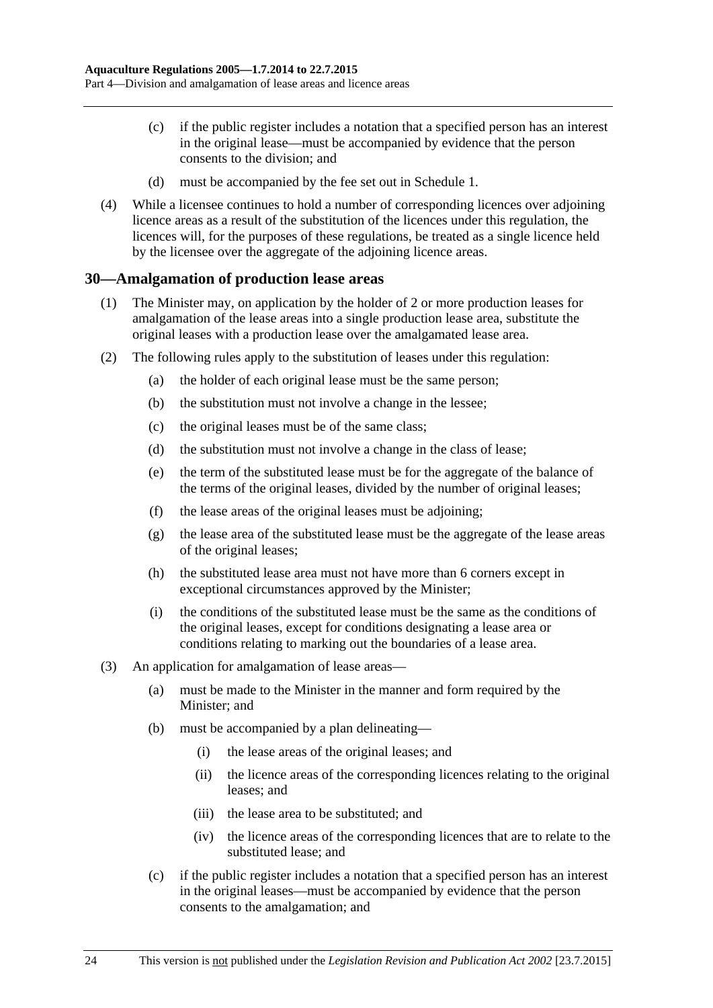- (c) if the public register includes a notation that a specified person has an interest in the original lease—must be accompanied by evidence that the person consents to the division; and
- (d) must be accompanied by the fee set out in [Schedule 1.](#page-27-5)
- (4) While a licensee continues to hold a number of corresponding licences over adjoining licence areas as a result of the substitution of the licences under this regulation, the licences will, for the purposes of these regulations, be treated as a single licence held by the licensee over the aggregate of the adjoining licence areas.

#### <span id="page-23-0"></span>**30—Amalgamation of production lease areas**

- (1) The Minister may, on application by the holder of 2 or more production leases for amalgamation of the lease areas into a single production lease area, substitute the original leases with a production lease over the amalgamated lease area.
- (2) The following rules apply to the substitution of leases under this regulation:
	- (a) the holder of each original lease must be the same person;
	- (b) the substitution must not involve a change in the lessee;
	- (c) the original leases must be of the same class;
	- (d) the substitution must not involve a change in the class of lease;
	- (e) the term of the substituted lease must be for the aggregate of the balance of the terms of the original leases, divided by the number of original leases;
	- (f) the lease areas of the original leases must be adjoining;
	- (g) the lease area of the substituted lease must be the aggregate of the lease areas of the original leases;
	- (h) the substituted lease area must not have more than 6 corners except in exceptional circumstances approved by the Minister;
	- (i) the conditions of the substituted lease must be the same as the conditions of the original leases, except for conditions designating a lease area or conditions relating to marking out the boundaries of a lease area.
- (3) An application for amalgamation of lease areas—
	- (a) must be made to the Minister in the manner and form required by the Minister; and
	- (b) must be accompanied by a plan delineating—
		- (i) the lease areas of the original leases; and
		- (ii) the licence areas of the corresponding licences relating to the original leases; and
		- (iii) the lease area to be substituted; and
		- (iv) the licence areas of the corresponding licences that are to relate to the substituted lease; and
	- (c) if the public register includes a notation that a specified person has an interest in the original leases—must be accompanied by evidence that the person consents to the amalgamation; and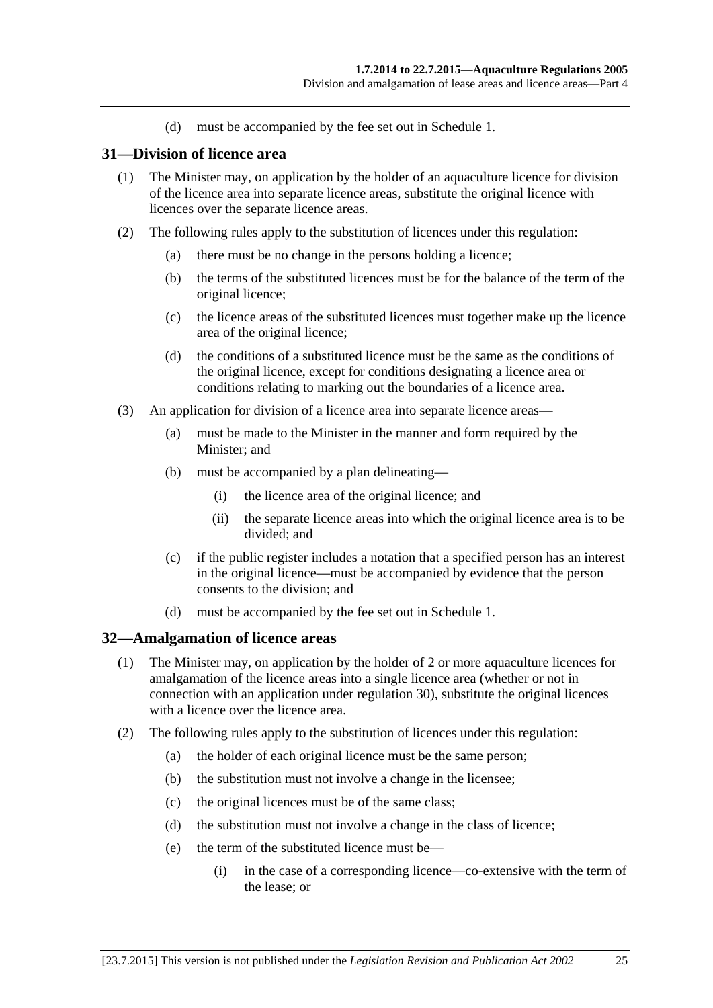(d) must be accompanied by the fee set out in [Schedule 1.](#page-27-5)

#### <span id="page-24-0"></span>**31—Division of licence area**

- (1) The Minister may, on application by the holder of an aquaculture licence for division of the licence area into separate licence areas, substitute the original licence with licences over the separate licence areas.
- (2) The following rules apply to the substitution of licences under this regulation:
	- (a) there must be no change in the persons holding a licence;
	- (b) the terms of the substituted licences must be for the balance of the term of the original licence;
	- (c) the licence areas of the substituted licences must together make up the licence area of the original licence;
	- (d) the conditions of a substituted licence must be the same as the conditions of the original licence, except for conditions designating a licence area or conditions relating to marking out the boundaries of a licence area.
- (3) An application for division of a licence area into separate licence areas—
	- (a) must be made to the Minister in the manner and form required by the Minister; and
	- (b) must be accompanied by a plan delineating—
		- (i) the licence area of the original licence; and
		- (ii) the separate licence areas into which the original licence area is to be divided; and
	- (c) if the public register includes a notation that a specified person has an interest in the original licence—must be accompanied by evidence that the person consents to the division; and
	- (d) must be accompanied by the fee set out in [Schedule 1.](#page-27-5)

#### <span id="page-24-1"></span>**32—Amalgamation of licence areas**

- (1) The Minister may, on application by the holder of 2 or more aquaculture licences for amalgamation of the licence areas into a single licence area (whether or not in connection with an application under regulation 30), substitute the original licences with a licence over the licence area.
- (2) The following rules apply to the substitution of licences under this regulation:
	- (a) the holder of each original licence must be the same person;
	- (b) the substitution must not involve a change in the licensee;
	- (c) the original licences must be of the same class;
	- (d) the substitution must not involve a change in the class of licence;
	- (e) the term of the substituted licence must be—
		- (i) in the case of a corresponding licence—co-extensive with the term of the lease; or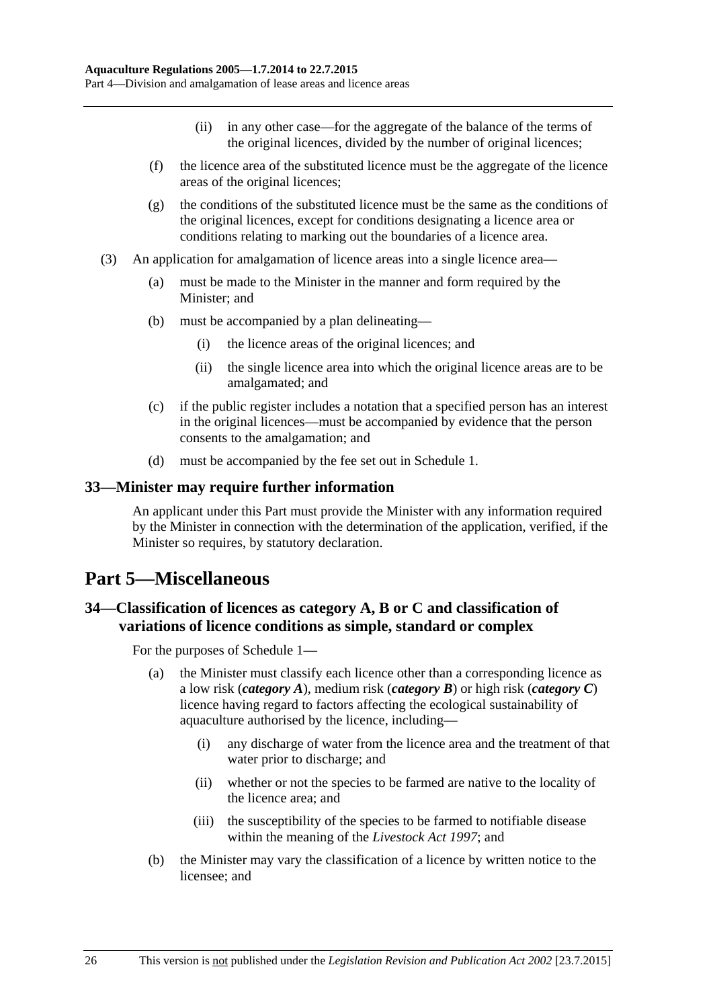- (ii) in any other case—for the aggregate of the balance of the terms of the original licences, divided by the number of original licences;
- (f) the licence area of the substituted licence must be the aggregate of the licence areas of the original licences;
- (g) the conditions of the substituted licence must be the same as the conditions of the original licences, except for conditions designating a licence area or conditions relating to marking out the boundaries of a licence area.
- (3) An application for amalgamation of licence areas into a single licence area—
	- (a) must be made to the Minister in the manner and form required by the Minister; and
	- (b) must be accompanied by a plan delineating—
		- (i) the licence areas of the original licences; and
		- (ii) the single licence area into which the original licence areas are to be amalgamated; and
	- (c) if the public register includes a notation that a specified person has an interest in the original licences—must be accompanied by evidence that the person consents to the amalgamation; and
	- (d) must be accompanied by the fee set out in [Schedule 1.](#page-27-5)

#### <span id="page-25-0"></span>**33—Minister may require further information**

An applicant under this Part must provide the Minister with any information required by the Minister in connection with the determination of the application, verified, if the Minister so requires, by statutory declaration.

# <span id="page-25-1"></span>**Part 5—Miscellaneous**

# <span id="page-25-2"></span>**34—Classification of licences as category A, B or C and classification of variations of licence conditions as simple, standard or complex**

For the purposes of [Schedule 1—](#page-27-5)

- (a) the Minister must classify each licence other than a corresponding licence as a low risk (*category A*), medium risk (*category B*) or high risk (*category C*) licence having regard to factors affecting the ecological sustainability of aquaculture authorised by the licence, including—
	- (i) any discharge of water from the licence area and the treatment of that water prior to discharge; and
	- (ii) whether or not the species to be farmed are native to the locality of the licence area; and
	- (iii) the susceptibility of the species to be farmed to notifiable disease within the meaning of the *[Livestock Act](http://www.legislation.sa.gov.au/index.aspx?action=legref&type=act&legtitle=Livestock%20Act%201997) 1997*; and
- (b) the Minister may vary the classification of a licence by written notice to the licensee; and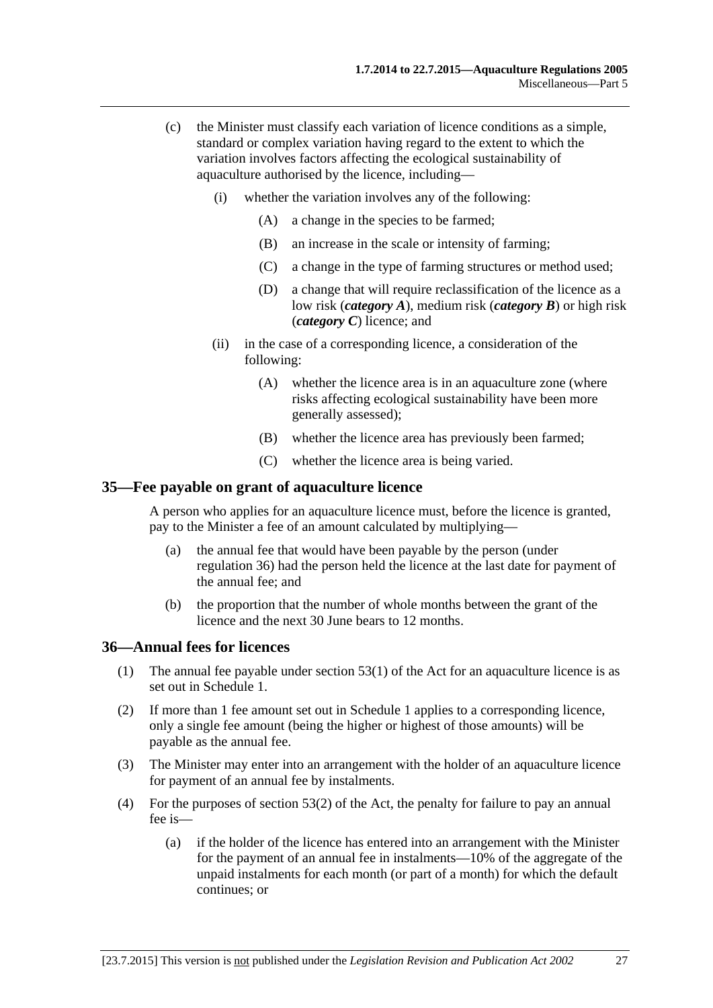- (c) the Minister must classify each variation of licence conditions as a simple, standard or complex variation having regard to the extent to which the variation involves factors affecting the ecological sustainability of aquaculture authorised by the licence, including—
	- (i) whether the variation involves any of the following:
		- (A) a change in the species to be farmed;
		- (B) an increase in the scale or intensity of farming;
		- (C) a change in the type of farming structures or method used;
		- (D) a change that will require reclassification of the licence as a low risk (*category A*), medium risk (*category B*) or high risk (*category C*) licence; and
	- (ii) in the case of a corresponding licence, a consideration of the following:
		- (A) whether the licence area is in an aquaculture zone (where risks affecting ecological sustainability have been more generally assessed);
		- (B) whether the licence area has previously been farmed;
		- (C) whether the licence area is being varied.

#### <span id="page-26-0"></span>**35—Fee payable on grant of aquaculture licence**

A person who applies for an aquaculture licence must, before the licence is granted, pay to the Minister a fee of an amount calculated by multiplying—

- (a) the annual fee that would have been payable by the person (under [regulation](#page-26-1) 36) had the person held the licence at the last date for payment of the annual fee; and
- (b) the proportion that the number of whole months between the grant of the licence and the next 30 June bears to 12 months.

#### <span id="page-26-1"></span>**36—Annual fees for licences**

- (1) The annual fee payable under section 53(1) of the Act for an aquaculture licence is as set out in [Schedule 1.](#page-27-5)
- (2) If more than 1 fee amount set out in [Schedule 1](#page-27-5) applies to a corresponding licence, only a single fee amount (being the higher or highest of those amounts) will be payable as the annual fee.
- (3) The Minister may enter into an arrangement with the holder of an aquaculture licence for payment of an annual fee by instalments.
- (4) For the purposes of section 53(2) of the Act, the penalty for failure to pay an annual fee is—
	- (a) if the holder of the licence has entered into an arrangement with the Minister for the payment of an annual fee in instalments—10% of the aggregate of the unpaid instalments for each month (or part of a month) for which the default continues; or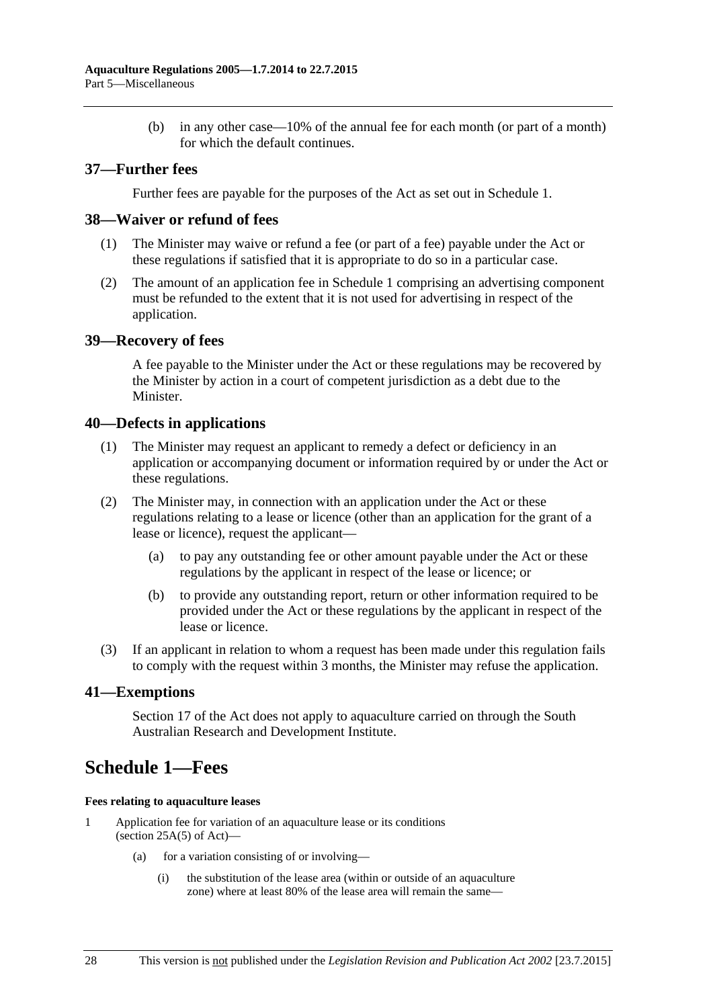(b) in any other case—10% of the annual fee for each month (or part of a month) for which the default continues.

### <span id="page-27-0"></span>**37—Further fees**

Further fees are payable for the purposes of the Act as set out in [Schedule 1.](#page-27-5)

#### <span id="page-27-1"></span>**38—Waiver or refund of fees**

- (1) The Minister may waive or refund a fee (or part of a fee) payable under the Act or these regulations if satisfied that it is appropriate to do so in a particular case.
- (2) The amount of an application fee in [Schedule 1](#page-27-5) comprising an advertising component must be refunded to the extent that it is not used for advertising in respect of the application.

#### <span id="page-27-2"></span>**39—Recovery of fees**

A fee payable to the Minister under the Act or these regulations may be recovered by the Minister by action in a court of competent jurisdiction as a debt due to the Minister.

#### <span id="page-27-3"></span>**40—Defects in applications**

- (1) The Minister may request an applicant to remedy a defect or deficiency in an application or accompanying document or information required by or under the Act or these regulations.
- (2) The Minister may, in connection with an application under the Act or these regulations relating to a lease or licence (other than an application for the grant of a lease or licence), request the applicant—
	- (a) to pay any outstanding fee or other amount payable under the Act or these regulations by the applicant in respect of the lease or licence; or
	- (b) to provide any outstanding report, return or other information required to be provided under the Act or these regulations by the applicant in respect of the lease or licence.
- (3) If an applicant in relation to whom a request has been made under this regulation fails to comply with the request within 3 months, the Minister may refuse the application.

#### <span id="page-27-4"></span>**41—Exemptions**

Section 17 of the Act does not apply to aquaculture carried on through the South Australian Research and Development Institute.

# <span id="page-27-5"></span>**Schedule 1—Fees**

#### **Fees relating to aquaculture leases**

- 1 Application fee for variation of an aquaculture lease or its conditions (section  $25A(5)$  of Act)—
	- (a) for a variation consisting of or involving—
		- (i) the substitution of the lease area (within or outside of an aquaculture zone) where at least 80% of the lease area will remain the same—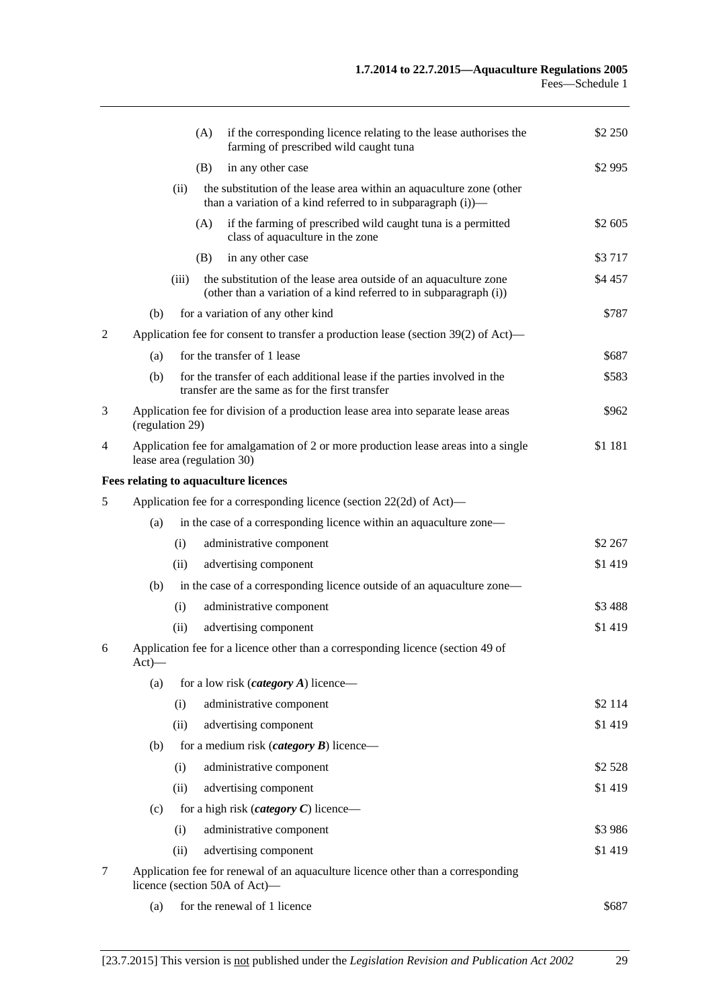|   |                                                                                                                   |       | (A) | if the corresponding licence relating to the lease authorises the<br>farming of prescribed wild caught tuna                             | \$2 250  |
|---|-------------------------------------------------------------------------------------------------------------------|-------|-----|-----------------------------------------------------------------------------------------------------------------------------------------|----------|
|   |                                                                                                                   |       | (B) | in any other case                                                                                                                       | \$2 995  |
|   |                                                                                                                   | (ii)  |     | the substitution of the lease area within an aquaculture zone (other<br>than a variation of a kind referred to in subparagraph $(i)$ —  |          |
|   |                                                                                                                   |       | (A) | if the farming of prescribed wild caught tuna is a permitted<br>class of aquaculture in the zone                                        | \$2 605  |
|   |                                                                                                                   |       | (B) | in any other case                                                                                                                       | \$3717   |
|   |                                                                                                                   | (iii) |     | the substitution of the lease area outside of an aquaculture zone<br>(other than a variation of a kind referred to in subparagraph (i)) | \$4 457  |
|   | (b)                                                                                                               |       |     | for a variation of any other kind                                                                                                       | \$787    |
| 2 |                                                                                                                   |       |     | Application fee for consent to transfer a production lease (section 39(2) of Act)—                                                      |          |
|   | (a)                                                                                                               |       |     | for the transfer of 1 lease                                                                                                             | \$687    |
|   | (b)                                                                                                               |       |     | for the transfer of each additional lease if the parties involved in the<br>transfer are the same as for the first transfer             | \$583    |
| 3 | (regulation 29)                                                                                                   |       |     | Application fee for division of a production lease area into separate lease areas                                                       | \$962    |
| 4 | lease area (regulation 30)                                                                                        |       |     | Application fee for amalgamation of 2 or more production lease areas into a single                                                      | \$1 181  |
|   |                                                                                                                   |       |     | Fees relating to aquaculture licences                                                                                                   |          |
| 5 | Application fee for a corresponding licence (section 22(2d) of Act)—                                              |       |     |                                                                                                                                         |          |
|   | (a)                                                                                                               |       |     | in the case of a corresponding licence within an aquaculture zone—                                                                      |          |
|   |                                                                                                                   | (i)   |     | administrative component                                                                                                                | \$2 267  |
|   |                                                                                                                   | (ii)  |     | advertising component                                                                                                                   | \$1419   |
|   | (b)                                                                                                               |       |     | in the case of a corresponding licence outside of an aquaculture zone—                                                                  |          |
|   |                                                                                                                   | (i)   |     | administrative component                                                                                                                | \$3488   |
|   |                                                                                                                   | (ii)  |     | advertising component                                                                                                                   | \$1 419  |
| 6 | Application fee for a licence other than a corresponding licence (section 49 of<br>$Act)$ —                       |       |     |                                                                                                                                         |          |
|   | (a)                                                                                                               |       |     | for a low risk <i>(category A)</i> licence—                                                                                             |          |
|   |                                                                                                                   | (i)   |     | administrative component                                                                                                                | \$2 114  |
|   |                                                                                                                   | (ii)  |     | advertising component                                                                                                                   | \$1 419  |
|   | (b)                                                                                                               |       |     | for a medium risk ( <i>category</i> $\bm{B}$ ) licence—                                                                                 |          |
|   |                                                                                                                   | (i)   |     | administrative component                                                                                                                | \$2 5 28 |
|   |                                                                                                                   | (ii)  |     | advertising component                                                                                                                   | \$1 419  |
|   | (c)                                                                                                               |       |     | for a high risk ( <i>category C</i> ) licence—                                                                                          |          |
|   |                                                                                                                   | (i)   |     | administrative component                                                                                                                | \$3986   |
|   |                                                                                                                   | (ii)  |     | advertising component                                                                                                                   | \$1419   |
| 7 | Application fee for renewal of an aquaculture licence other than a corresponding<br>licence (section 50A of Act)- |       |     |                                                                                                                                         |          |
|   | (a)                                                                                                               |       |     | for the renewal of 1 licence                                                                                                            | \$687    |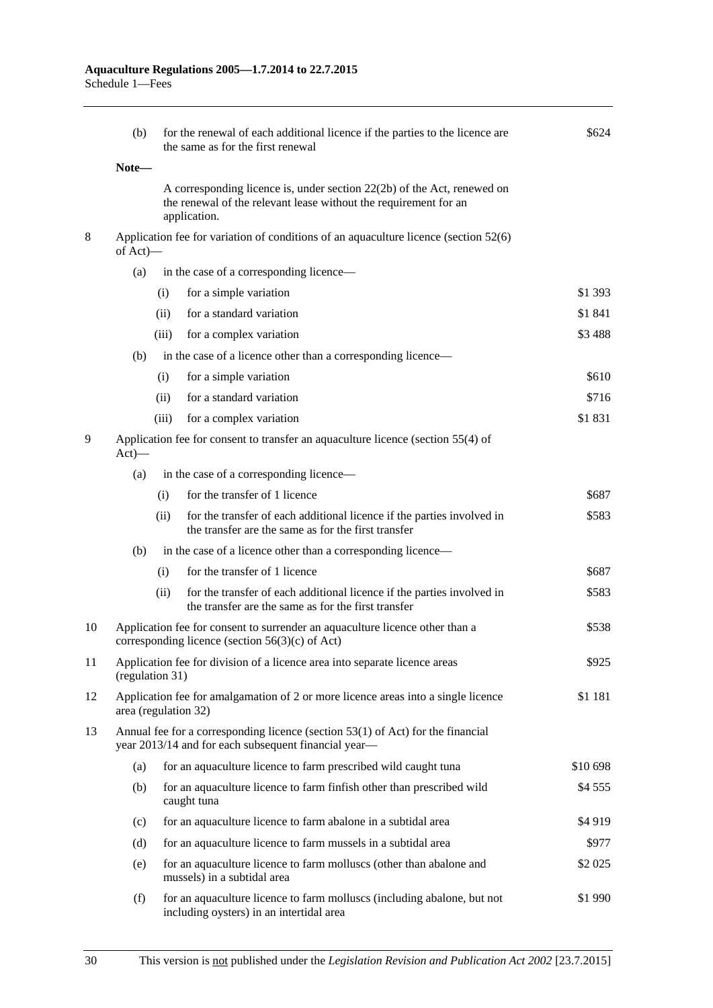|    | (b)                                                                                           | for the renewal of each additional licence if the parties to the licence are<br>the same as for the first renewal                          | \$624                                                                                                                                                       |          |  |  |
|----|-----------------------------------------------------------------------------------------------|--------------------------------------------------------------------------------------------------------------------------------------------|-------------------------------------------------------------------------------------------------------------------------------------------------------------|----------|--|--|
|    | Note-                                                                                         |                                                                                                                                            |                                                                                                                                                             |          |  |  |
|    |                                                                                               |                                                                                                                                            | A corresponding licence is, under section 22(2b) of the Act, renewed on<br>the renewal of the relevant lease without the requirement for an<br>application. |          |  |  |
| 8  |                                                                                               | Application fee for variation of conditions of an aquaculture licence (section 52(6)<br>of Act)-                                           |                                                                                                                                                             |          |  |  |
|    | (a)                                                                                           |                                                                                                                                            | in the case of a corresponding licence—                                                                                                                     |          |  |  |
|    |                                                                                               | (i)                                                                                                                                        | for a simple variation                                                                                                                                      | \$1 393  |  |  |
|    |                                                                                               | (ii)                                                                                                                                       | for a standard variation                                                                                                                                    | \$1841   |  |  |
|    |                                                                                               | (iii)                                                                                                                                      | for a complex variation                                                                                                                                     | \$3 488  |  |  |
|    | (b)                                                                                           |                                                                                                                                            | in the case of a licence other than a corresponding licence—                                                                                                |          |  |  |
|    |                                                                                               | (i)                                                                                                                                        | for a simple variation                                                                                                                                      | \$610    |  |  |
|    |                                                                                               | (ii)                                                                                                                                       | for a standard variation                                                                                                                                    | \$716    |  |  |
|    |                                                                                               | (iii)                                                                                                                                      | for a complex variation                                                                                                                                     | \$1831   |  |  |
| 9  | $Act)$ —                                                                                      | Application fee for consent to transfer an aquaculture licence (section 55(4) of                                                           |                                                                                                                                                             |          |  |  |
|    | (a)                                                                                           |                                                                                                                                            | in the case of a corresponding licence—                                                                                                                     |          |  |  |
|    |                                                                                               | (i)                                                                                                                                        | for the transfer of 1 licence                                                                                                                               | \$687    |  |  |
|    |                                                                                               | (ii)                                                                                                                                       | for the transfer of each additional licence if the parties involved in<br>the transfer are the same as for the first transfer                               | \$583    |  |  |
|    | (b)                                                                                           |                                                                                                                                            | in the case of a licence other than a corresponding licence—                                                                                                |          |  |  |
|    |                                                                                               | (i)                                                                                                                                        | for the transfer of 1 licence                                                                                                                               | \$687    |  |  |
|    |                                                                                               | (ii)                                                                                                                                       | for the transfer of each additional licence if the parties involved in<br>the transfer are the same as for the first transfer                               | \$583    |  |  |
| 10 |                                                                                               | \$538<br>Application fee for consent to surrender an aquaculture licence other than a<br>corresponding licence (section $56(3)(c)$ of Act) |                                                                                                                                                             |          |  |  |
| 11 | Application fee for division of a licence area into separate licence areas<br>(regulation 31) |                                                                                                                                            |                                                                                                                                                             | \$925    |  |  |
| 12 |                                                                                               | Application fee for amalgamation of 2 or more licence areas into a single licence<br>\$1 181<br>area (regulation 32)                       |                                                                                                                                                             |          |  |  |
| 13 |                                                                                               |                                                                                                                                            | Annual fee for a corresponding licence (section $53(1)$ of Act) for the financial<br>year 2013/14 and for each subsequent financial year-                   |          |  |  |
|    | (a)                                                                                           |                                                                                                                                            | for an aquaculture licence to farm prescribed wild caught tuna                                                                                              | \$10 698 |  |  |
|    | (b)                                                                                           |                                                                                                                                            | for an aquaculture licence to farm finfish other than prescribed wild<br>caught tuna                                                                        | \$4555   |  |  |
|    | (c)                                                                                           |                                                                                                                                            | for an aquaculture licence to farm abalone in a subtidal area                                                                                               | \$4919   |  |  |
|    | (d)                                                                                           |                                                                                                                                            | for an aquaculture licence to farm mussels in a subtidal area                                                                                               | \$977    |  |  |
|    | (e)                                                                                           |                                                                                                                                            | for an aquaculture licence to farm molluscs (other than abalone and<br>mussels) in a subtidal area                                                          | \$2 0 25 |  |  |
|    | (f)                                                                                           |                                                                                                                                            | for an aquaculture licence to farm molluscs (including abalone, but not<br>including oysters) in an intertidal area                                         | \$1 990  |  |  |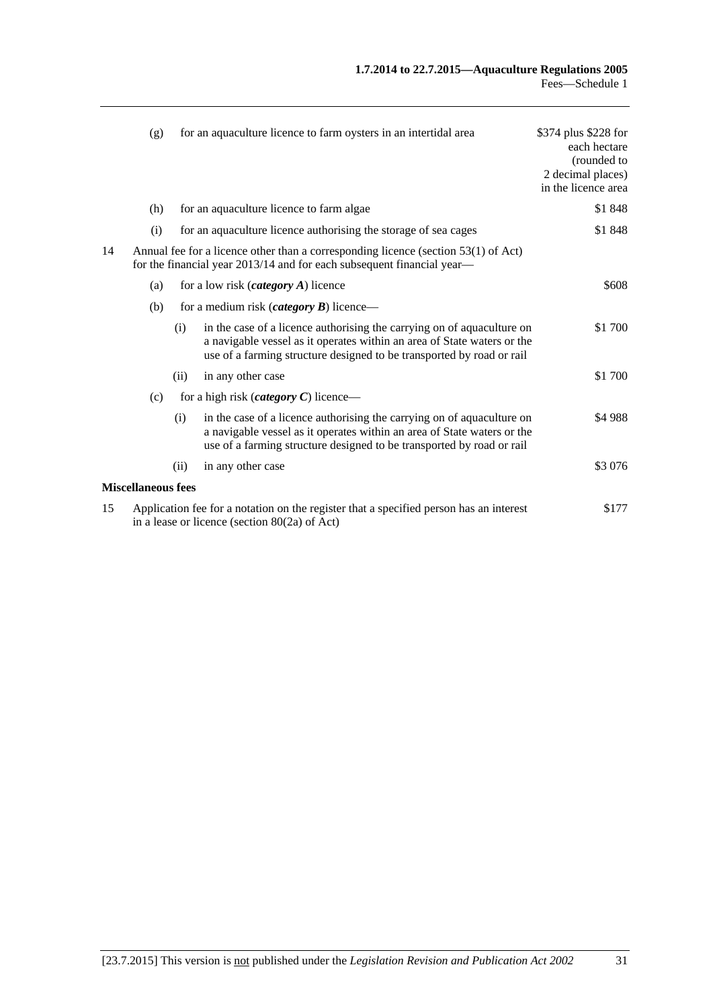|    | (g)                                                                                                                                                          |      | for an aquaculture licence to farm oysters in an intertidal area                                                                                                                                                           | \$374 plus \$228 for<br>each hectare<br>(rounded to<br>2 decimal places)<br>in the licence area |
|----|--------------------------------------------------------------------------------------------------------------------------------------------------------------|------|----------------------------------------------------------------------------------------------------------------------------------------------------------------------------------------------------------------------------|-------------------------------------------------------------------------------------------------|
|    | (h)                                                                                                                                                          |      | for an aquaculture licence to farm algae                                                                                                                                                                                   | \$1848                                                                                          |
|    | (i)                                                                                                                                                          |      | for an aquaculture licence authorising the storage of sea cages                                                                                                                                                            | \$1848                                                                                          |
| 14 | Annual fee for a licence other than a corresponding licence (section 53(1) of Act)<br>for the financial year 2013/14 and for each subsequent financial year— |      |                                                                                                                                                                                                                            |                                                                                                 |
|    | (a)                                                                                                                                                          |      | for a low risk $(category A)$ licence                                                                                                                                                                                      | \$608                                                                                           |
|    | (b)                                                                                                                                                          |      | for a medium risk ( <i>category</i> $\bm{B}$ ) licence—                                                                                                                                                                    |                                                                                                 |
|    |                                                                                                                                                              | (i)  | in the case of a licence authorising the carrying on of aquaculture on<br>a navigable vessel as it operates within an area of State waters or the<br>use of a farming structure designed to be transported by road or rail | \$1 700                                                                                         |
|    |                                                                                                                                                              | (ii) | in any other case                                                                                                                                                                                                          | \$1 700                                                                                         |
|    | (c)                                                                                                                                                          |      | for a high risk ( <i>category C</i> ) licence—                                                                                                                                                                             |                                                                                                 |
|    |                                                                                                                                                              | (i)  | in the case of a licence authorising the carrying on of aquaculture on<br>a navigable vessel as it operates within an area of State waters or the<br>use of a farming structure designed to be transported by road or rail | \$4988                                                                                          |
|    |                                                                                                                                                              | (ii) | in any other case                                                                                                                                                                                                          | \$3 076                                                                                         |
|    | <b>Miscellaneous fees</b>                                                                                                                                    |      |                                                                                                                                                                                                                            |                                                                                                 |
| 15 | Application fee for a notation on the register that a specified person has an interest<br>in a lease or licence (section $80(2a)$ of Act)                    |      |                                                                                                                                                                                                                            | \$177                                                                                           |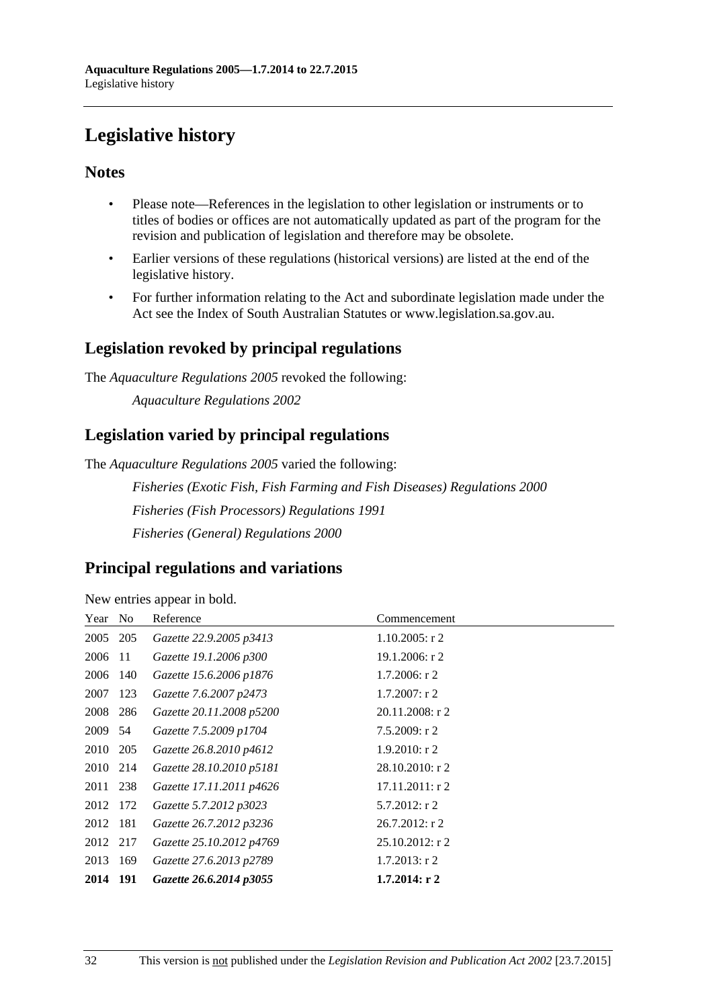# <span id="page-31-0"></span>**Legislative history**

# **Notes**

- Please note—References in the legislation to other legislation or instruments or to titles of bodies or offices are not automatically updated as part of the program for the revision and publication of legislation and therefore may be obsolete.
- Earlier versions of these regulations (historical versions) are listed at the end of the legislative history.
- For further information relating to the Act and subordinate legislation made under the Act see the Index of South Australian Statutes or www.legislation.sa.gov.au.

# **Legislation revoked by principal regulations**

The *Aquaculture Regulations 2005* revoked the following:

*Aquaculture Regulations 2002*

# **Legislation varied by principal regulations**

The *Aquaculture Regulations 2005* varied the following:

*Fisheries (Exotic Fish, Fish Farming and Fish Diseases) Regulations 2000 Fisheries (Fish Processors) Regulations 1991 Fisheries (General) Regulations 2000*

# **Principal regulations and variations**

New entries appear in bold.

| Year No  |     | Reference                | Commencement       |
|----------|-----|--------------------------|--------------------|
| 2005 205 |     | Gazette 22.9.2005 p3413  | $1.10.2005$ : r 2  |
| 2006     | -11 | Gazette 19.1.2006 p300   | 19.1.2006: r 2     |
| 2006 140 |     | Gazette 15.6.2006 p1876  | $1.7.2006$ : r 2   |
| 2007     | 123 | Gazette 7.6.2007 p2473   | $1.7.2007:$ r 2    |
| 2008 286 |     | Gazette 20.11.2008 p5200 | 20.11.2008: r 2    |
| 2009 54  |     | Gazette 7.5.2009 p1704   | $7.5.2009$ : r 2   |
| 2010 205 |     | Gazette 26.8.2010 p4612  | $1.9.2010$ : r 2   |
| 2010     | 214 | Gazette 28.10.2010 p5181 | $28.10.2010$ : r 2 |
| 2011 238 |     | Gazette 17.11.2011 p4626 | $17.11.2011:$ r 2  |
| 2012 172 |     | Gazette 5.7.2012 p3023   | $5.7.2012$ : r 2   |
| 2012 181 |     | Gazette 26.7.2012 p3236  | $26.7.2012$ : r 2  |
| 2012 217 |     | Gazette 25.10.2012 p4769 | $25.10.2012$ : r 2 |
| 2013     | 169 | Gazette 27.6.2013 p2789  | $1.7.2013$ : r 2   |
| 2014 191 |     | Gazette 26.6.2014 p3055  | $1.7.2014$ : r 2   |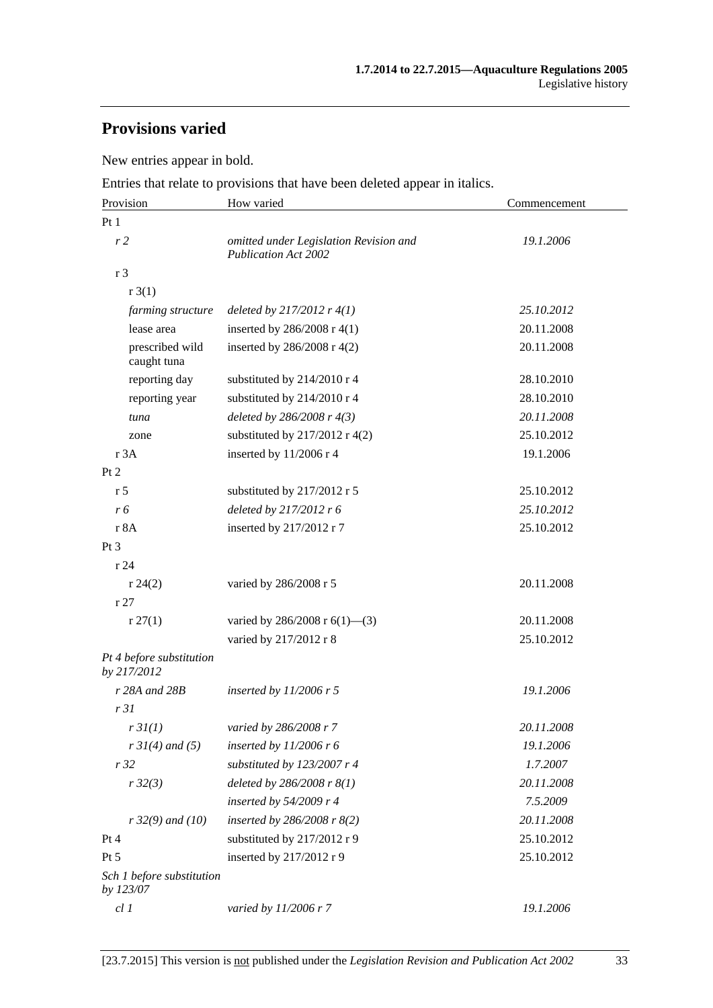# **Provisions varied**

New entries appear in bold.

Entries that relate to provisions that have been deleted appear in italics.

| Provision                               | How varied                                                            | Commencement |  |
|-----------------------------------------|-----------------------------------------------------------------------|--------------|--|
| Pt 1                                    |                                                                       |              |  |
| r <sub>2</sub>                          | omitted under Legislation Revision and<br><b>Publication Act 2002</b> | 19.1.2006    |  |
| r <sub>3</sub>                          |                                                                       |              |  |
| r3(1)                                   |                                                                       |              |  |
| farming structure                       | deleted by $217/2012$ r $4(1)$                                        | 25.10.2012   |  |
| lease area                              | inserted by $286/2008$ r 4(1)                                         | 20.11.2008   |  |
| prescribed wild<br>caught tuna          | inserted by $286/2008$ r 4(2)                                         | 20.11.2008   |  |
| reporting day                           | substituted by 214/2010 r 4                                           | 28.10.2010   |  |
| reporting year                          | substituted by 214/2010 r 4                                           | 28.10.2010   |  |
| tuna                                    | deleted by $286/2008$ r $4(3)$                                        | 20.11.2008   |  |
| zone                                    | substituted by $217/2012$ r 4(2)                                      | 25.10.2012   |  |
| r 3A                                    | inserted by 11/2006 r 4                                               | 19.1.2006    |  |
| Pt 2                                    |                                                                       |              |  |
| r <sub>5</sub>                          | substituted by 217/2012 r 5                                           | 25.10.2012   |  |
| r 6                                     | deleted by 217/2012 r 6                                               | 25.10.2012   |  |
| r 8A                                    | inserted by 217/2012 r 7                                              | 25.10.2012   |  |
| Pt 3                                    |                                                                       |              |  |
| r24                                     |                                                                       |              |  |
| r 24(2)                                 | varied by 286/2008 r 5                                                | 20.11.2008   |  |
| r27                                     |                                                                       |              |  |
| r 27(1)                                 | varied by 286/2008 r $6(1)$ —(3)                                      | 20.11.2008   |  |
|                                         | varied by 217/2012 r 8                                                | 25.10.2012   |  |
| Pt 4 before substitution<br>by 217/2012 |                                                                       |              |  |
| r 28A and 28B                           | inserted by $11/2006$ r 5                                             | 19.1.2006    |  |
| r31                                     |                                                                       |              |  |
| r3I(1)                                  | varied by 286/2008 r 7                                                | 20.11.2008   |  |
| $r \, 31(4)$ and (5)                    | inserted by $11/2006$ r 6                                             | 19.1.2006    |  |
| r32                                     | substituted by $123/2007$ r 4                                         | 1.7.2007     |  |
| r32(3)                                  | deleted by 286/2008 r 8(1)                                            | 20.11.2008   |  |
|                                         | inserted by 54/2009 r 4                                               | 7.5.2009     |  |
| $r32(9)$ and (10)                       | inserted by $286/2008$ r $8(2)$                                       | 20.11.2008   |  |
| Pt 4                                    | substituted by 217/2012 r 9                                           | 25.10.2012   |  |
| Pt 5                                    | inserted by 217/2012 r 9                                              | 25.10.2012   |  |
| Sch 1 before substitution<br>by 123/07  |                                                                       |              |  |
| $cl$ $I$                                | varied by 11/2006 r 7                                                 | 19.1.2006    |  |